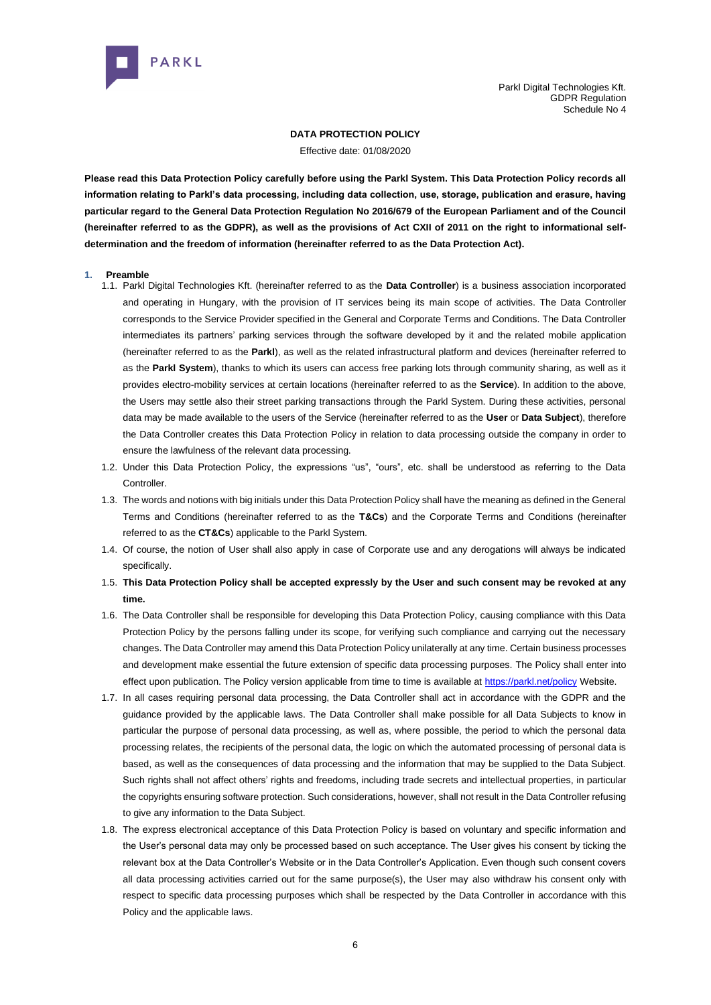

# **DATA PROTECTION POLICY**

Effective date: 01/08/2020

**Please read this Data Protection Policy carefully before using the Parkl System. This Data Protection Policy records all information relating to Parkl's data processing, including data collection, use, storage, publication and erasure, having particular regard to the General Data Protection Regulation No 2016/679 of the European Parliament and of the Council (hereinafter referred to as the GDPR), as well as the provisions of Act CXII of 2011 on the right to informational selfdetermination and the freedom of information (hereinafter referred to as the Data Protection Act).**

# **1. Preamble**

- 1.1. Parkl Digital Technologies Kft. (hereinafter referred to as the **Data Controller**) is a business association incorporated and operating in Hungary, with the provision of IT services being its main scope of activities. The Data Controller corresponds to the Service Provider specified in the General and Corporate Terms and Conditions. The Data Controller intermediates its partners' parking services through the software developed by it and the related mobile application (hereinafter referred to as the **Parkl**), as well as the related infrastructural platform and devices (hereinafter referred to as the **Parkl System**), thanks to which its users can access free parking lots through community sharing, as well as it provides electro-mobility services at certain locations (hereinafter referred to as the **Service**). In addition to the above, the Users may settle also their street parking transactions through the Parkl System. During these activities, personal data may be made available to the users of the Service (hereinafter referred to as the **User** or **Data Subject**), therefore the Data Controller creates this Data Protection Policy in relation to data processing outside the company in order to ensure the lawfulness of the relevant data processing.
- 1.2. Under this Data Protection Policy, the expressions "us", "ours", etc. shall be understood as referring to the Data **Controller**
- 1.3. The words and notions with big initials under this Data Protection Policy shall have the meaning as defined in the General Terms and Conditions (hereinafter referred to as the **T&Cs**) and the Corporate Terms and Conditions (hereinafter referred to as the **CT&Cs**) applicable to the Parkl System.
- 1.4. Of course, the notion of User shall also apply in case of Corporate use and any derogations will always be indicated specifically.
- 1.5. **This Data Protection Policy shall be accepted expressly by the User and such consent may be revoked at any time.**
- 1.6. The Data Controller shall be responsible for developing this Data Protection Policy, causing compliance with this Data Protection Policy by the persons falling under its scope, for verifying such compliance and carrying out the necessary changes. The Data Controller may amend this Data Protection Policy unilaterally at any time. Certain business processes and development make essential the future extension of specific data processing purposes. The Policy shall enter into effect upon publication. The Policy version applicable from time to time is available at [https://parkl.net/policy](about:blank) Website.
- 1.7. In all cases requiring personal data processing, the Data Controller shall act in accordance with the GDPR and the guidance provided by the applicable laws. The Data Controller shall make possible for all Data Subjects to know in particular the purpose of personal data processing, as well as, where possible, the period to which the personal data processing relates, the recipients of the personal data, the logic on which the automated processing of personal data is based, as well as the consequences of data processing and the information that may be supplied to the Data Subject. Such rights shall not affect others' rights and freedoms, including trade secrets and intellectual properties, in particular the copyrights ensuring software protection. Such considerations, however, shall not result in the Data Controller refusing to give any information to the Data Subject.
- 1.8. The express electronical acceptance of this Data Protection Policy is based on voluntary and specific information and the User's personal data may only be processed based on such acceptance. The User gives his consent by ticking the relevant box at the Data Controller's Website or in the Data Controller's Application. Even though such consent covers all data processing activities carried out for the same purpose(s), the User may also withdraw his consent only with respect to specific data processing purposes which shall be respected by the Data Controller in accordance with this Policy and the applicable laws.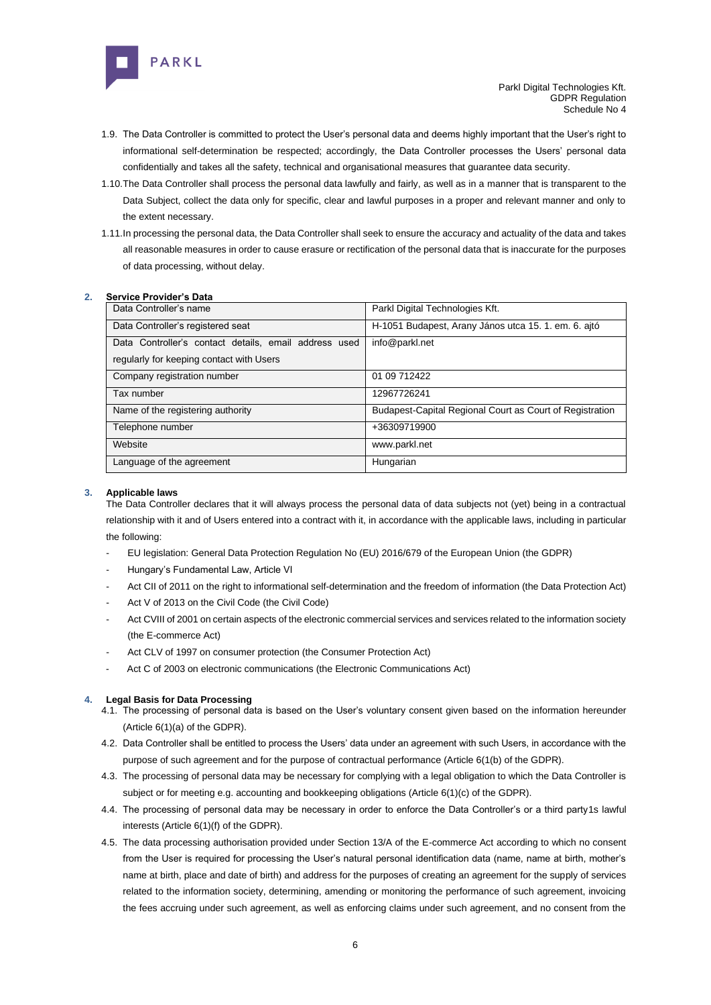

- 1.9. The Data Controller is committed to protect the User's personal data and deems highly important that the User's right to informational self-determination be respected; accordingly, the Data Controller processes the Users' personal data confidentially and takes all the safety, technical and organisational measures that guarantee data security.
- 1.10.The Data Controller shall process the personal data lawfully and fairly, as well as in a manner that is transparent to the Data Subject, collect the data only for specific, clear and lawful purposes in a proper and relevant manner and only to the extent necessary.
- 1.11.In processing the personal data, the Data Controller shall seek to ensure the accuracy and actuality of the data and takes all reasonable measures in order to cause erasure or rectification of the personal data that is inaccurate for the purposes of data processing, without delay.

# **2. Service Provider's Data**

| Data Controller's name                                | Parkl Digital Technologies Kft.                          |
|-------------------------------------------------------|----------------------------------------------------------|
| Data Controller's registered seat                     | H-1051 Budapest, Arany János utca 15. 1. em. 6. ajtó     |
| Data Controller's contact details, email address used | info@parkl.net                                           |
| regularly for keeping contact with Users              |                                                          |
| Company registration number                           | 01 09 712422                                             |
| Tax number                                            | 12967726241                                              |
| Name of the registering authority                     | Budapest-Capital Regional Court as Court of Registration |
| Telephone number                                      | +36309719900                                             |
| Website                                               | www.parkl.net                                            |
| Language of the agreement                             | Hungarian                                                |

# **3. Applicable laws**

The Data Controller declares that it will always process the personal data of data subjects not (yet) being in a contractual relationship with it and of Users entered into a contract with it, in accordance with the applicable laws, including in particular the following:

- EU legislation: General Data Protection Regulation No (EU) 2016/679 of the European Union (the GDPR)
- Hungary's Fundamental Law, Article VI
- Act CII of 2011 on the right to informational self-determination and the freedom of information (the Data Protection Act)
- Act V of 2013 on the Civil Code (the Civil Code)
- Act CVIII of 2001 on certain aspects of the electronic commercial services and services related to the information society (the E-commerce Act)
- Act CLV of 1997 on consumer protection (the Consumer Protection Act)
- Act C of 2003 on electronic communications (the Electronic Communications Act)

#### **4. Legal Basis for Data Processing**

- 4.1. The processing of personal data is based on the User's voluntary consent given based on the information hereunder (Article 6(1)(a) of the GDPR).
- 4.2. Data Controller shall be entitled to process the Users' data under an agreement with such Users, in accordance with the purpose of such agreement and for the purpose of contractual performance (Article 6(1(b) of the GDPR).
- 4.3. The processing of personal data may be necessary for complying with a legal obligation to which the Data Controller is subject or for meeting e.g. accounting and bookkeeping obligations (Article 6(1)(c) of the GDPR).
- 4.4. The processing of personal data may be necessary in order to enforce the Data Controller's or a third party1s lawful interests (Article 6(1)(f) of the GDPR).
- 4.5. The data processing authorisation provided under Section 13/A of the E-commerce Act according to which no consent from the User is required for processing the User's natural personal identification data (name, name at birth, mother's name at birth, place and date of birth) and address for the purposes of creating an agreement for the supply of services related to the information society, determining, amending or monitoring the performance of such agreement, invoicing the fees accruing under such agreement, as well as enforcing claims under such agreement, and no consent from the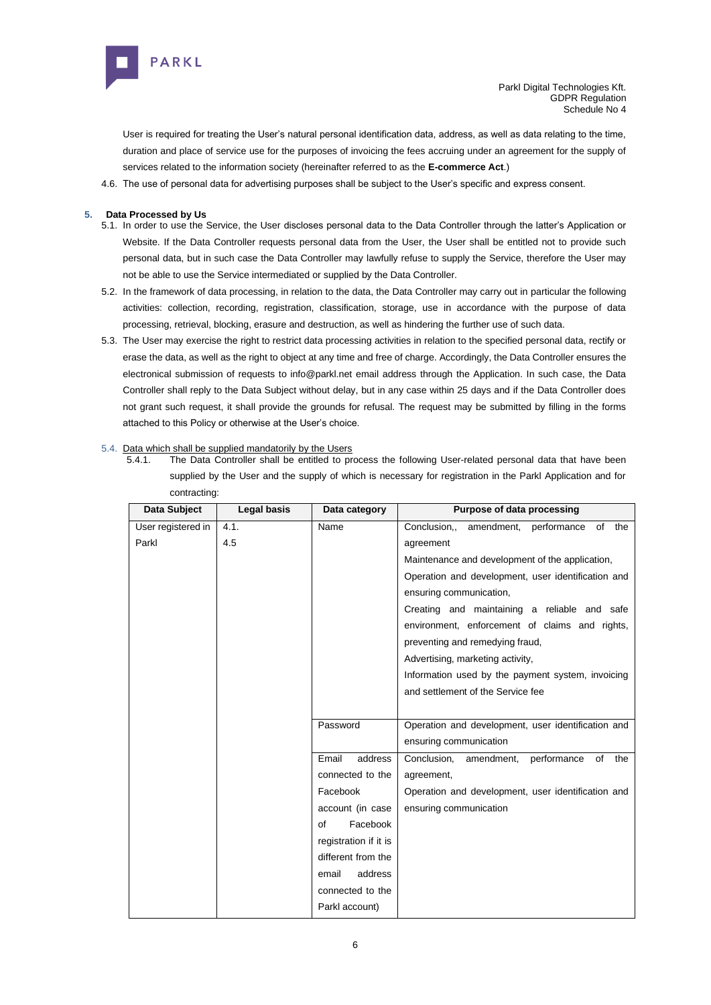

User is required for treating the User's natural personal identification data, address, as well as data relating to the time, duration and place of service use for the purposes of invoicing the fees accruing under an agreement for the supply of services related to the information society (hereinafter referred to as the **E-commerce Act**.)

4.6. The use of personal data for advertising purposes shall be subject to the User's specific and express consent.

# **5. Data Processed by Us**

- 5.1. In order to use the Service, the User discloses personal data to the Data Controller through the latter's Application or Website. If the Data Controller requests personal data from the User, the User shall be entitled not to provide such personal data, but in such case the Data Controller may lawfully refuse to supply the Service, therefore the User may not be able to use the Service intermediated or supplied by the Data Controller.
- 5.2. In the framework of data processing, in relation to the data, the Data Controller may carry out in particular the following activities: collection, recording, registration, classification, storage, use in accordance with the purpose of data processing, retrieval, blocking, erasure and destruction, as well as hindering the further use of such data.
- 5.3. The User may exercise the right to restrict data processing activities in relation to the specified personal data, rectify or erase the data, as well as the right to object at any time and free of charge. Accordingly, the Data Controller ensures the electronical submission of requests to info@parkl.net email address through the Application. In such case, the Data Controller shall reply to the Data Subject without delay, but in any case within 25 days and if the Data Controller does not grant such request, it shall provide the grounds for refusal. The request may be submitted by filling in the forms attached to this Policy or otherwise at the User's choice.

# 5.4. Data which shall be supplied mandatorily by the Users

5.4.1. The Data Controller shall be entitled to process the following User-related personal data that have been supplied by the User and the supply of which is necessary for registration in the Parkl Application and for contracting:

| Data Subject       | Legal basis | Data category         | Purpose of data processing                         |
|--------------------|-------------|-----------------------|----------------------------------------------------|
| User registered in | 4.1.        | Name                  | Conclusion<br>amendment,<br>performance<br>of the  |
| Parkl              | 4.5         |                       | agreement                                          |
|                    |             |                       | Maintenance and development of the application,    |
|                    |             |                       | Operation and development, user identification and |
|                    |             |                       | ensuring communication,                            |
|                    |             |                       | Creating and maintaining a reliable and safe       |
|                    |             |                       | environment, enforcement of claims and rights,     |
|                    |             |                       | preventing and remedying fraud,                    |
|                    |             |                       | Advertising, marketing activity,                   |
|                    |             |                       | Information used by the payment system, invoicing  |
|                    |             |                       | and settlement of the Service fee                  |
|                    |             |                       |                                                    |
|                    |             | Password              | Operation and development, user identification and |
|                    |             |                       | ensuring communication                             |
|                    |             | Email<br>address      | performance<br>Conclusion,<br>amendment,<br>of the |
|                    |             | connected to the      | agreement,                                         |
|                    |             | Facebook              | Operation and development, user identification and |
|                    |             | account (in case      | ensuring communication                             |
|                    |             | Facebook<br>of        |                                                    |
|                    |             | registration if it is |                                                    |
|                    |             | different from the    |                                                    |
|                    |             | email<br>address      |                                                    |
|                    |             | connected to the      |                                                    |
|                    |             | Parkl account)        |                                                    |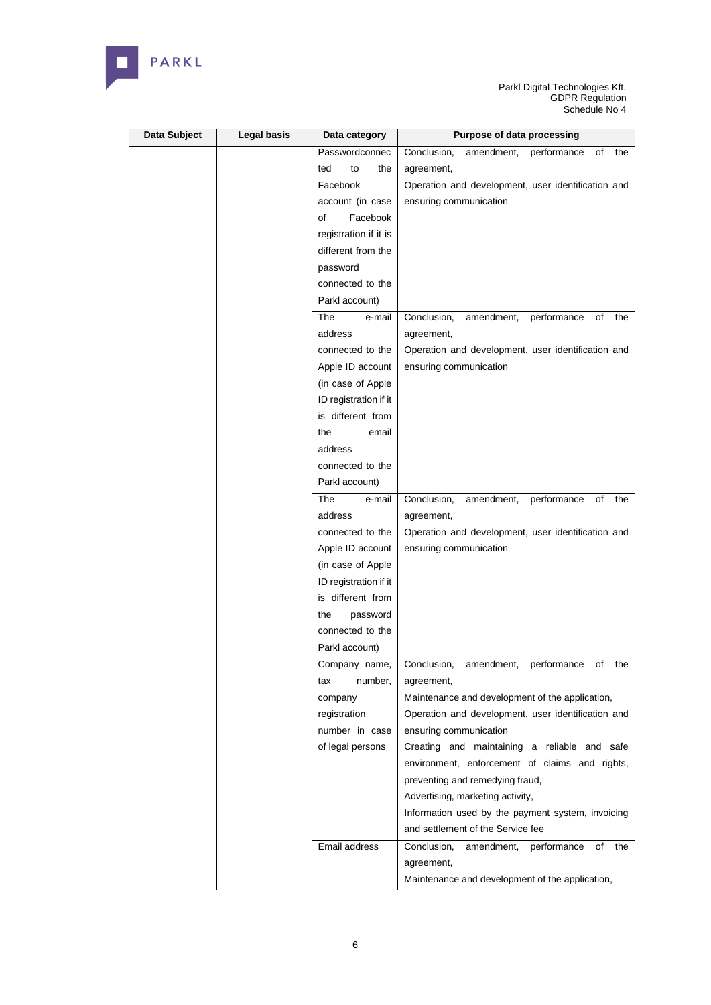

| Data Subject | <b>Legal basis</b> | Data category         | Purpose of data processing                            |
|--------------|--------------------|-----------------------|-------------------------------------------------------|
|              |                    | Passwordconnec        | Conclusion,<br>amendment,<br>performance<br>of<br>the |
|              |                    | ted<br>to<br>the      | agreement,                                            |
|              |                    | Facebook              | Operation and development, user identification and    |
|              |                    | account (in case      | ensuring communication                                |
|              |                    | Facebook<br>οf        |                                                       |
|              |                    | registration if it is |                                                       |
|              |                    | different from the    |                                                       |
|              |                    | password              |                                                       |
|              |                    | connected to the      |                                                       |
|              |                    | Parkl account)        |                                                       |
|              |                    | The<br>e-mail         | Conclusion,<br>performance<br>amendment,<br>of<br>the |
|              |                    | address               | agreement,                                            |
|              |                    | connected to the      | Operation and development, user identification and    |
|              |                    | Apple ID account      | ensuring communication                                |
|              |                    | (in case of Apple     |                                                       |
|              |                    | ID registration if it |                                                       |
|              |                    | is different from     |                                                       |
|              |                    | the<br>email          |                                                       |
|              |                    | address               |                                                       |
|              |                    | connected to the      |                                                       |
|              |                    | Parkl account)        |                                                       |
|              |                    | The<br>e-mail         | Conclusion,<br>performance<br>of<br>amendment,<br>the |
|              |                    | address               | agreement,                                            |
|              |                    | connected to the      | Operation and development, user identification and    |
|              |                    | Apple ID account      | ensuring communication                                |
|              |                    | (in case of Apple     |                                                       |
|              |                    | ID registration if it |                                                       |
|              |                    | is different from     |                                                       |
|              |                    | the<br>password       |                                                       |
|              |                    | connected to the      |                                                       |
|              |                    | Parkl account)        |                                                       |
|              |                    | Company name,         | Conclusion, amendment, performance of<br>the          |
|              |                    | number,<br>tax        | agreement,                                            |
|              |                    | company               | Maintenance and development of the application,       |
|              |                    | registration          | Operation and development, user identification and    |
|              |                    | number in case        | ensuring communication                                |
|              |                    | of legal persons      | Creating and maintaining a reliable and safe          |
|              |                    |                       | environment, enforcement of claims and rights,        |
|              |                    |                       | preventing and remedying fraud,                       |
|              |                    |                       | Advertising, marketing activity,                      |
|              |                    |                       | Information used by the payment system, invoicing     |
|              |                    |                       | and settlement of the Service fee                     |
|              |                    | Email address         | performance<br>Conclusion,<br>amendment,<br>of<br>the |
|              |                    |                       | agreement,                                            |
|              |                    |                       | Maintenance and development of the application,       |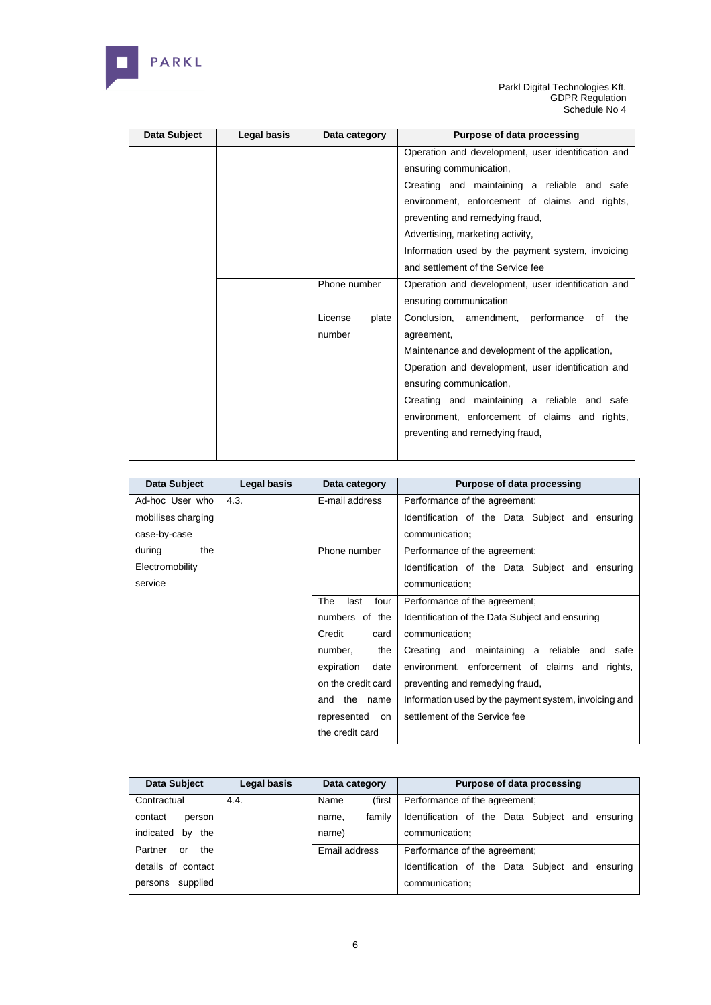

| Data Subject | Legal basis | Data category    | Purpose of data processing                         |
|--------------|-------------|------------------|----------------------------------------------------|
|              |             |                  | Operation and development, user identification and |
|              |             |                  | ensuring communication,                            |
|              |             |                  | Creating and maintaining a reliable and safe       |
|              |             |                  | environment, enforcement of claims and rights,     |
|              |             |                  | preventing and remedying fraud,                    |
|              |             |                  | Advertising, marketing activity,                   |
|              |             |                  | Information used by the payment system, invoicing  |
|              |             |                  | and settlement of the Service fee                  |
|              |             | Phone number     | Operation and development, user identification and |
|              |             |                  | ensuring communication                             |
|              |             | License<br>plate | Conclusion, amendment, performance<br>of<br>the    |
|              |             | number           | agreement,                                         |
|              |             |                  | Maintenance and development of the application,    |
|              |             |                  | Operation and development, user identification and |
|              |             |                  | ensuring communication,                            |
|              |             |                  | Creating and maintaining a reliable and safe       |
|              |             |                  | environment, enforcement of claims and rights,     |
|              |             |                  | preventing and remedying fraud,                    |
|              |             |                  |                                                    |

| Data Subject       | Legal basis | Data category       | Purpose of data processing                            |
|--------------------|-------------|---------------------|-------------------------------------------------------|
| Ad-hoc User who    | 4.3.        | E-mail address      | Performance of the agreement;                         |
| mobilises charging |             |                     | Identification of the Data Subject and ensuring       |
| case-by-case       |             |                     | communication;                                        |
| during<br>the      |             | Phone number        | Performance of the agreement;                         |
| Electromobility    |             |                     | Identification of the Data Subject and ensuring       |
| service            |             |                     | communication;                                        |
|                    |             | The<br>last<br>four | Performance of the agreement;                         |
|                    |             | numbers of the      | Identification of the Data Subject and ensuring       |
|                    |             | Credit<br>card      | communication;                                        |
|                    |             | number,<br>the      | Creating and maintaining a reliable and safe          |
|                    |             | expiration<br>date  | environment, enforcement of claims and rights,        |
|                    |             | on the credit card  | preventing and remedying fraud,                       |
|                    |             | and the name        | Information used by the payment system, invoicing and |
|                    |             | represented<br>on   | settlement of the Service fee                         |
|                    |             | the credit card     |                                                       |

| Data Subject           | Legal basis | Data category |        | Purpose of data processing                      |
|------------------------|-------------|---------------|--------|-------------------------------------------------|
| Contractual            | 4.4.        | Name          | (first | Performance of the agreement:                   |
| contact<br>person      |             | name.         | family | Identification of the Data Subject and ensuring |
| indicated<br>the<br>bv |             | name)         |        | communication;                                  |
| Partner<br>the<br>or   |             | Email address |        | Performance of the agreement:                   |
| details of contact     |             |               |        | Identification of the Data Subiect and ensuring |
| supplied<br>persons    |             |               |        | communication;                                  |

6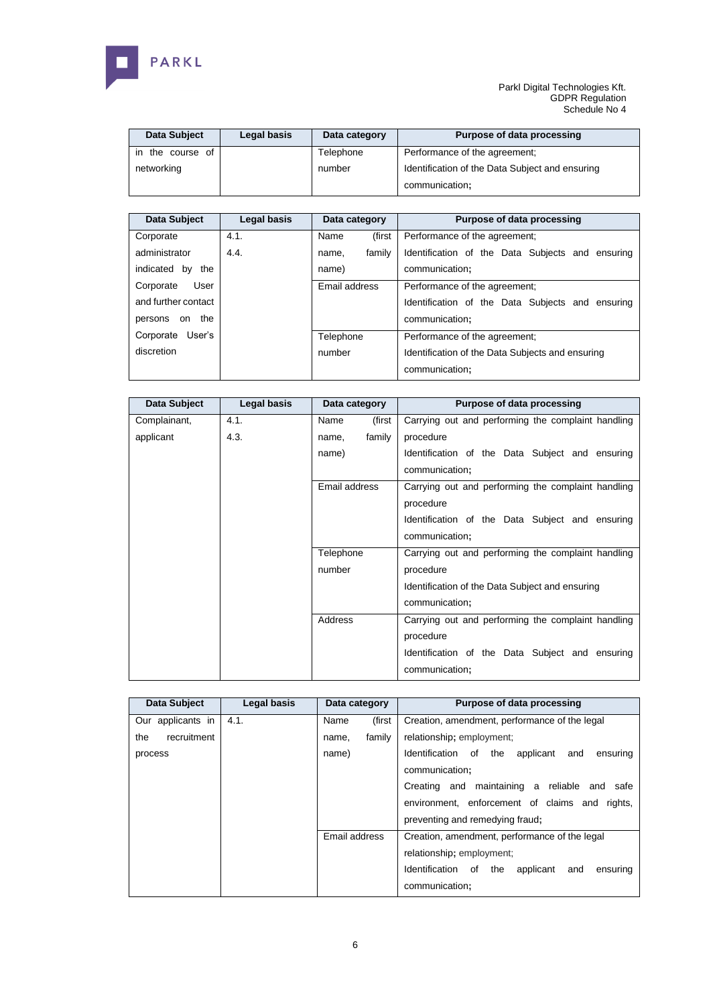

| Data Subject        | Legal basis | Data category | Purpose of data processing                                        |
|---------------------|-------------|---------------|-------------------------------------------------------------------|
| the course of<br>ın |             | Telephone     | Performance of the agreement:                                     |
| networking          |             | number        | Identification of the Data Subject and ensuring<br>communication; |

| Data Subject        | Legal basis | Data category   | <b>Purpose of data processing</b>                |
|---------------------|-------------|-----------------|--------------------------------------------------|
| Corporate           | 4.1.        | (first<br>Name  | Performance of the agreement:                    |
| administrator       | 4.4.        | family<br>name. | Identification of the Data Subjects and ensuring |
| indicated by the    |             | name)           | communication:                                   |
| User<br>Corporate   |             | Email address   | Performance of the agreement:                    |
| and further contact |             |                 | Identification of the Data Subjects and ensuring |
| persons on the      |             |                 | communication;                                   |
| Corporate User's    |             | Telephone       | Performance of the agreement:                    |
| discretion          |             | number          | Identification of the Data Subjects and ensuring |
|                     |             |                 | communication;                                   |

| Data Subject | Legal basis | Data category   | <b>Purpose of data processing</b>                  |
|--------------|-------------|-----------------|----------------------------------------------------|
| Complainant, | 4.1.        | (first<br>Name  | Carrying out and performing the complaint handling |
| applicant    | 4.3.        | family<br>name, | procedure                                          |
|              |             | name)           | Identification of the Data Subject and ensuring    |
|              |             |                 | communication;                                     |
|              |             | Email address   | Carrying out and performing the complaint handling |
|              |             |                 | procedure                                          |
|              |             |                 | Identification of the Data Subject and ensuring    |
|              |             |                 | communication;                                     |
|              |             | Telephone       | Carrying out and performing the complaint handling |
|              |             | number          | procedure                                          |
|              |             |                 | Identification of the Data Subject and ensuring    |
|              |             |                 | communication;                                     |
|              |             | Address         | Carrying out and performing the complaint handling |
|              |             |                 | procedure                                          |
|              |             |                 | Identification of the Data Subject and ensuring    |
|              |             |                 | communication;                                     |

| Data Subject       | Legal basis | Data category   | Purpose of data processing                            |
|--------------------|-------------|-----------------|-------------------------------------------------------|
| Our applicants in  | 4.1.        | Name<br>(first  | Creation, amendment, performance of the legal         |
| recruitment<br>the |             | family<br>name. | relationship; employment;                             |
| process            |             | name)           | Identification of the<br>applicant<br>ensuring<br>and |
|                    |             |                 | communication;                                        |
|                    |             |                 | Creating and maintaining a reliable and safe          |
|                    |             |                 | environment, enforcement of claims and rights,        |
|                    |             |                 | preventing and remedying fraud;                       |
|                    |             | Email address   | Creation, amendment, performance of the legal         |
|                    |             |                 | relationship; employment;                             |
|                    |             |                 | Identification of the<br>applicant<br>and<br>ensuring |
|                    |             |                 | communication;                                        |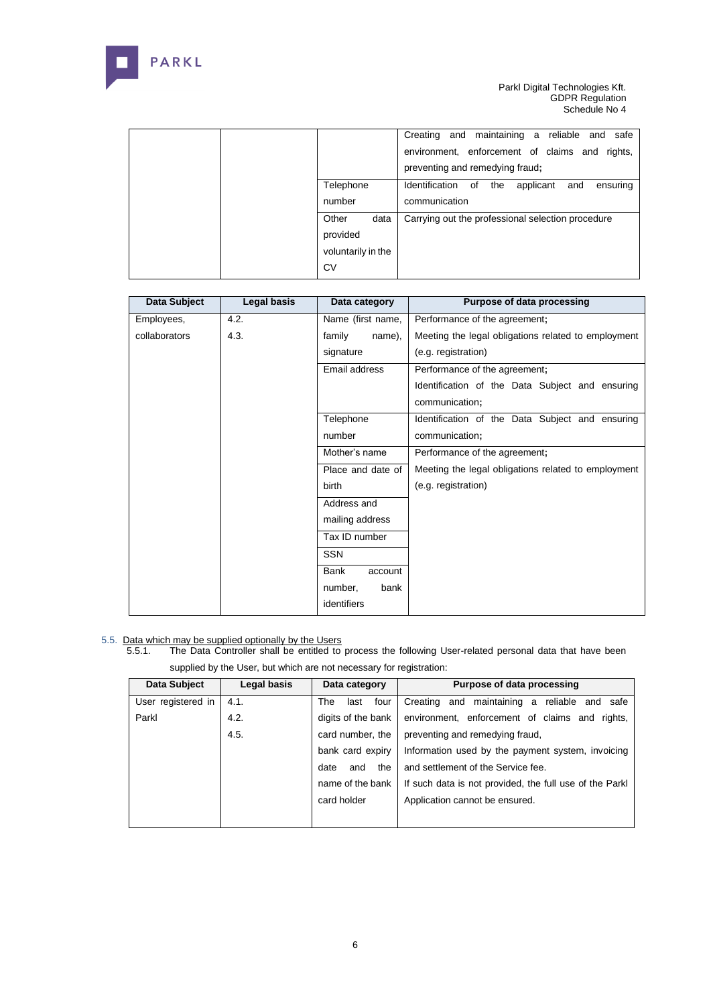

|                                                       | Creating and maintaining a reliable and<br>safe<br>environment, enforcement of claims and rights,<br>preventing and remedying fraud; |
|-------------------------------------------------------|--------------------------------------------------------------------------------------------------------------------------------------|
| Telephone                                             | Identification of<br>the<br>applicant<br>and<br>ensuring                                                                             |
| number                                                | communication                                                                                                                        |
| Other<br>data<br>provided<br>voluntarily in the<br>CV | Carrying out the professional selection procedure                                                                                    |

| Data Subject  | Legal basis | Data category     | Purpose of data processing                          |
|---------------|-------------|-------------------|-----------------------------------------------------|
| Employees,    | 4.2.        | Name (first name, | Performance of the agreement;                       |
| collaborators | 4.3.        | family<br>name),  | Meeting the legal obligations related to employment |
|               |             | signature         | (e.g. registration)                                 |
|               |             | Email address     | Performance of the agreement;                       |
|               |             |                   | Identification of the Data Subject and ensuring     |
|               |             |                   | communication;                                      |
|               |             | Telephone         | Identification of the Data Subject and ensuring     |
|               |             | number            | communication;                                      |
|               |             | Mother's name     | Performance of the agreement;                       |
|               |             | Place and date of | Meeting the legal obligations related to employment |
|               |             | <b>birth</b>      | (e.g. registration)                                 |
|               |             | Address and       |                                                     |
|               |             | mailing address   |                                                     |
|               |             | Tax ID number     |                                                     |
|               |             | <b>SSN</b>        |                                                     |
|               |             | Bank<br>account   |                                                     |
|               |             | number,<br>bank   |                                                     |
|               |             | identifiers       |                                                     |

# 5.5. Data which may be supplied optionally by the Users

5.5.1. The Data Controller shall be entitled to process the following User-related personal data that have been supplied by the User, but which are not necessary for registration:

| Data Subject       | Legal basis | Data category       | Purpose of data processing                              |
|--------------------|-------------|---------------------|---------------------------------------------------------|
| User registered in | 4.1.        | The<br>four<br>last | Creating and maintaining a<br>reliable and safe         |
| Parkl              | 4.2.        | digits of the bank  | environment, enforcement of claims and rights,          |
|                    | 4.5.        | card number, the    | preventing and remedying fraud,                         |
|                    |             | bank card expiry    | Information used by the payment system, invoicing       |
|                    |             | the<br>date<br>and  | and settlement of the Service fee.                      |
|                    |             | name of the bank    | If such data is not provided, the full use of the Parkl |
|                    |             | card holder         | Application cannot be ensured.                          |
|                    |             |                     |                                                         |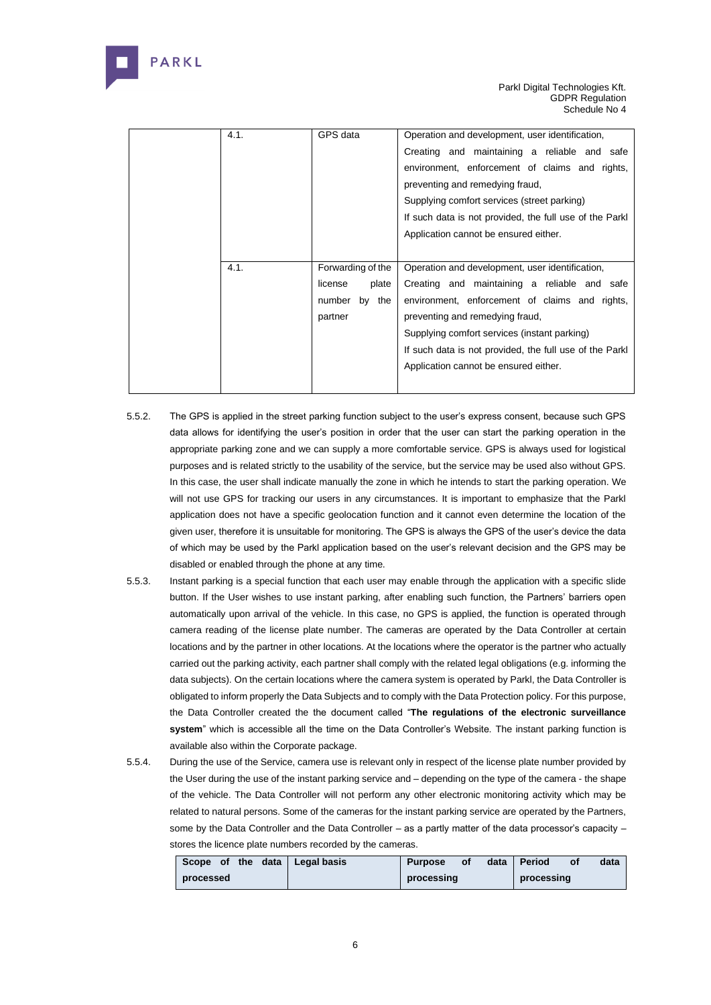

| 4.1. | GPS data<br>Operation and development, user identification, |                                                         |  |
|------|-------------------------------------------------------------|---------------------------------------------------------|--|
|      |                                                             | Creating and maintaining a reliable and safe            |  |
|      |                                                             | environment, enforcement of claims and rights,          |  |
|      |                                                             | preventing and remedying fraud,                         |  |
|      |                                                             | Supplying comfort services (street parking)             |  |
|      |                                                             | If such data is not provided, the full use of the Parkl |  |
|      |                                                             | Application cannot be ensured either.                   |  |
|      |                                                             |                                                         |  |
| 4.1. | Forwarding of the                                           | Operation and development, user identification,         |  |
|      | license<br>plate                                            | Creating and maintaining a reliable and safe            |  |
|      |                                                             |                                                         |  |
|      | by the<br>number                                            | environment, enforcement of claims and rights,          |  |
|      | partner                                                     | preventing and remedying fraud,                         |  |
|      |                                                             | Supplying comfort services (instant parking)            |  |
|      |                                                             | If such data is not provided, the full use of the Parkl |  |
|      |                                                             | Application cannot be ensured either.                   |  |

- 5.5.2. The GPS is applied in the street parking function subject to the user's express consent, because such GPS data allows for identifying the user's position in order that the user can start the parking operation in the appropriate parking zone and we can supply a more comfortable service. GPS is always used for logistical purposes and is related strictly to the usability of the service, but the service may be used also without GPS. In this case, the user shall indicate manually the zone in which he intends to start the parking operation. We will not use GPS for tracking our users in any circumstances. It is important to emphasize that the Parkl application does not have a specific geolocation function and it cannot even determine the location of the given user, therefore it is unsuitable for monitoring. The GPS is always the GPS of the user's device the data of which may be used by the Parkl application based on the user's relevant decision and the GPS may be disabled or enabled through the phone at any time.
- 5.5.3. Instant parking is a special function that each user may enable through the application with a specific slide button. If the User wishes to use instant parking, after enabling such function, the Partners' barriers open automatically upon arrival of the vehicle. In this case, no GPS is applied, the function is operated through camera reading of the license plate number. The cameras are operated by the Data Controller at certain locations and by the partner in other locations. At the locations where the operator is the partner who actually carried out the parking activity, each partner shall comply with the related legal obligations (e.g. informing the data subjects). On the certain locations where the camera system is operated by Parkl, the Data Controller is obligated to inform properly the Data Subjects and to comply with the Data Protection policy. For this purpose, the Data Controller created the the document called "**The regulations of the electronic surveillance system**" which is accessible all the time on the Data Controller's Website. The instant parking function is available also within the Corporate package.
- 5.5.4. During the use of the Service, camera use is relevant only in respect of the license plate number provided by the User during the use of the instant parking service and – depending on the type of the camera - the shape of the vehicle. The Data Controller will not perform any other electronic monitoring activity which may be related to natural persons. Some of the cameras for the instant parking service are operated by the Partners, some by the Data Controller and the Data Controller – as a partly matter of the data processor's capacity – stores the licence plate numbers recorded by the cameras.

| data<br>Scope of the | Legal basis | <b>Purpose</b> | оf | data | Period     | <b>of</b> | data |
|----------------------|-------------|----------------|----|------|------------|-----------|------|
| processed            |             | processing     |    |      | processing |           |      |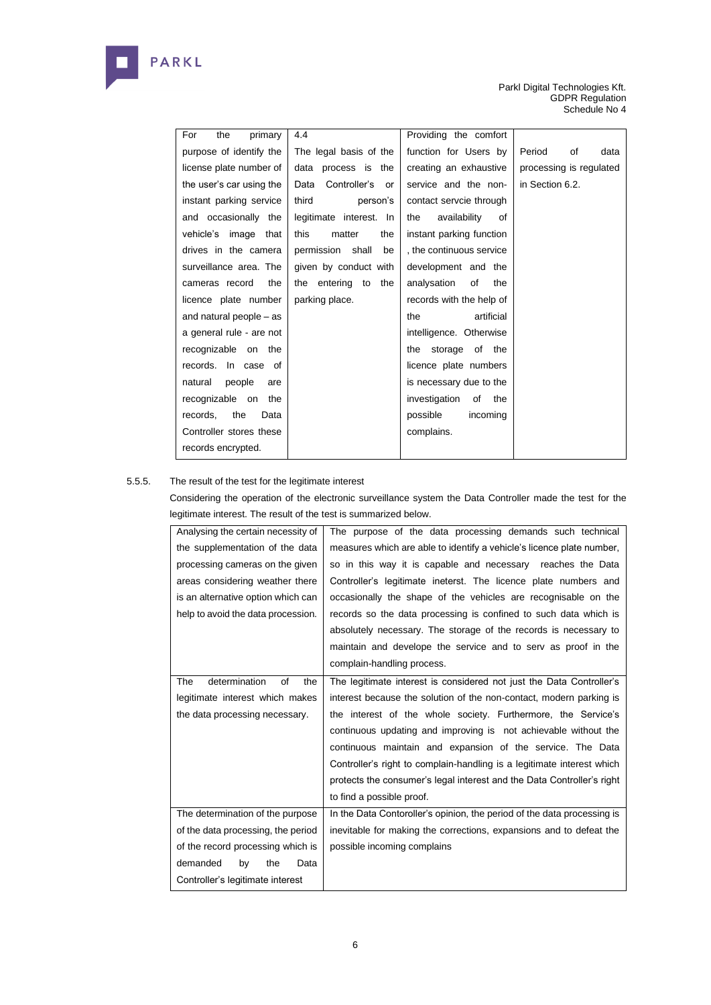

| For<br>the<br>primary    | 4.4                        | Providing the comfort      |                         |
|--------------------------|----------------------------|----------------------------|-------------------------|
| purpose of identify the  | The legal basis of the     | function for Users by      | Period<br>οf<br>data    |
| license plate number of  | data process is the        | creating an exhaustive     | processing is regulated |
| the user's car using the | Controller's<br>Data<br>or | service and the non-       | in Section 6.2.         |
| instant parking service  | third<br>person's          | contact servcie through    |                         |
| and occasionally the     | legitimate interest. In    | the<br>availability<br>οf  |                         |
| vehicle's image that     | the<br>this<br>matter      | instant parking function   |                         |
| drives in the camera     | permission shall<br>be     | , the continuous service   |                         |
| surveillance area. The   | given by conduct with      | development and the        |                         |
| the<br>cameras record    | the entering to<br>the     | of<br>analysation<br>the   |                         |
| licence plate number     | parking place.             | records with the help of   |                         |
| and natural people – as  |                            | artificial<br>the          |                         |
| a general rule - are not |                            | intelligence. Otherwise    |                         |
| recognizable on the      |                            | storage of the<br>the      |                         |
| records. In case of      |                            | licence plate numbers      |                         |
| natural<br>people<br>are |                            | is necessary due to the    |                         |
| recognizable on the      |                            | investigation<br>of<br>the |                         |
| the<br>records,<br>Data  |                            | possible<br>incoming       |                         |
| Controller stores these  |                            | complains.                 |                         |
| records encrypted.       |                            |                            |                         |

# 5.5.5. The result of the test for the legitimate interest

Considering the operation of the electronic surveillance system the Data Controller made the test for the legitimate interest. The result of the test is summarized below.

| Analysing the certain necessity of | The purpose of the data processing demands such technical               |
|------------------------------------|-------------------------------------------------------------------------|
| the supplementation of the data    | measures which are able to identify a vehicle's licence plate number,   |
| processing cameras on the given    | so in this way it is capable and necessary reaches the Data             |
| areas considering weather there    | Controller's legitimate ineterst. The licence plate numbers and         |
| is an alternative option which can | occasionally the shape of the vehicles are recognisable on the          |
| help to avoid the data procession. | records so the data processing is confined to such data which is        |
|                                    | absolutely necessary. The storage of the records is necessary to        |
|                                    | maintain and develope the service and to serv as proof in the           |
|                                    | complain-handling process.                                              |
| determination<br>οf<br>The<br>the  | The legitimate interest is considered not just the Data Controller's    |
| legitimate interest which makes    | interest because the solution of the non-contact, modern parking is     |
| the data processing necessary.     | the interest of the whole society. Furthermore, the Service's           |
|                                    | continuous updating and improving is not achievable without the         |
|                                    | continuous maintain and expansion of the service. The Data              |
|                                    | Controller's right to complain-handling is a legitimate interest which  |
|                                    | protects the consumer's legal interest and the Data Controller's right  |
|                                    | to find a possible proof.                                               |
| The determination of the purpose   | In the Data Contoroller's opinion, the period of the data processing is |
| of the data processing, the period | inevitable for making the corrections, expansions and to defeat the     |
| of the record processing which is  | possible incoming complains                                             |
| demanded<br>by<br>the<br>Data      |                                                                         |
| Controller's legitimate interest   |                                                                         |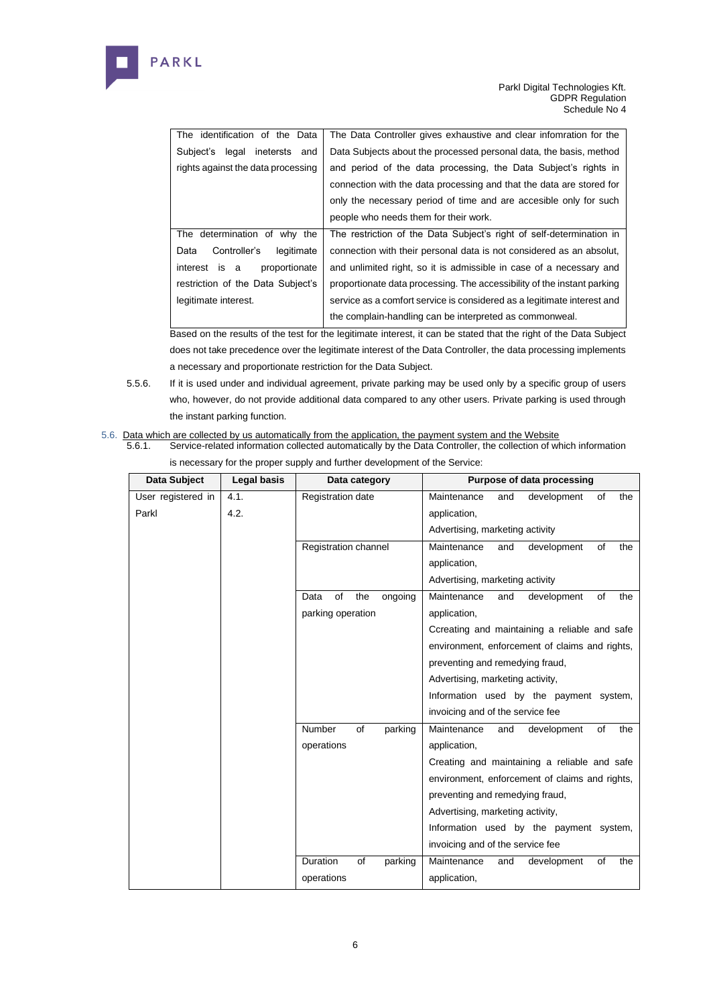

| The identification of the Data      | The Data Controller gives exhaustive and clear infomration for the      |
|-------------------------------------|-------------------------------------------------------------------------|
| legal inetersts<br>Subject's<br>and | Data Subjects about the processed personal data, the basis, method      |
| rights against the data processing  | and period of the data processing, the Data Subject's rights in         |
|                                     | connection with the data processing and that the data are stored for    |
|                                     | only the necessary period of time and are accesible only for such       |
|                                     | people who needs them for their work.                                   |
| The determination of why the        | The restriction of the Data Subject's right of self-determination in    |
| Controller's<br>legitimate<br>Data  | connection with their personal data is not considered as an absolut,    |
| proportionate<br>interest is a      | and unlimited right, so it is admissible in case of a necessary and     |
| restriction of the Data Subject's   | proportionate data processing. The accessibility of the instant parking |
| legitimate interest.                | service as a comfort service is considered as a legitimate interest and |
|                                     | the complain-handling can be interpreted as commonweal.                 |

Based on the results of the test for the legitimate interest, it can be stated that the right of the Data Subject does not take precedence over the legitimate interest of the Data Controller, the data processing implements a necessary and proportionate restriction for the Data Subject.

- 5.5.6. If it is used under and individual agreement, private parking may be used only by a specific group of users who, however, do not provide additional data compared to any other users. Private parking is used through the instant parking function.
- 5.6. Data which are collected by us automatically from the application, the payment system and the Website 5.6.1. Service-related information collected automatically by the Data Controller, the collection of w
	- Service-related information collected automatically by the Data Controller, the collection of which information is necessary for the proper supply and further development of the Service:

| Data Subject       | <b>Legal basis</b> |                      | Purpose of data processing<br>Data category |                                 |                                  |     |                                                |    |     |
|--------------------|--------------------|----------------------|---------------------------------------------|---------------------------------|----------------------------------|-----|------------------------------------------------|----|-----|
| User registered in | 4.1.               | Registration date    |                                             |                                 | Maintenance                      | and | development                                    | of | the |
| Parkl              | 4.2.               |                      |                                             |                                 | application,                     |     |                                                |    |     |
|                    |                    |                      |                                             | Advertising, marketing activity |                                  |     |                                                |    |     |
|                    |                    | Registration channel |                                             |                                 | Maintenance                      | and | development                                    | of | the |
|                    |                    |                      |                                             | application,                    |                                  |     |                                                |    |     |
|                    |                    |                      |                                             |                                 | Advertising, marketing activity  |     |                                                |    |     |
|                    |                    | of<br>Data           | the                                         | ongoing                         | Maintenance                      | and | development                                    | of | the |
|                    |                    | parking operation    |                                             |                                 | application,                     |     |                                                |    |     |
|                    |                    |                      |                                             |                                 |                                  |     | Ccreating and maintaining a reliable and safe  |    |     |
|                    |                    |                      |                                             |                                 |                                  |     | environment, enforcement of claims and rights, |    |     |
|                    |                    |                      |                                             |                                 | preventing and remedying fraud,  |     |                                                |    |     |
|                    |                    |                      |                                             |                                 | Advertising, marketing activity, |     |                                                |    |     |
|                    |                    |                      |                                             |                                 |                                  |     | Information used by the payment system,        |    |     |
|                    |                    |                      |                                             |                                 | invoicing and of the service fee |     |                                                |    |     |
|                    |                    | Number               | of                                          | parking                         | Maintenance                      | and | development                                    | of | the |
|                    |                    | operations           |                                             |                                 | application,                     |     |                                                |    |     |
|                    |                    |                      |                                             |                                 |                                  |     | Creating and maintaining a reliable and safe   |    |     |
|                    |                    |                      |                                             |                                 |                                  |     | environment, enforcement of claims and rights, |    |     |
|                    |                    |                      |                                             |                                 | preventing and remedying fraud,  |     |                                                |    |     |
|                    |                    |                      |                                             |                                 | Advertising, marketing activity, |     |                                                |    |     |
|                    |                    |                      |                                             |                                 |                                  |     | Information used by the payment system,        |    |     |
|                    |                    |                      |                                             |                                 | invoicing and of the service fee |     |                                                |    |     |
|                    |                    | Duration             | of                                          | parking                         | Maintenance                      | and | development                                    | of | the |
|                    |                    | operations           |                                             |                                 | application,                     |     |                                                |    |     |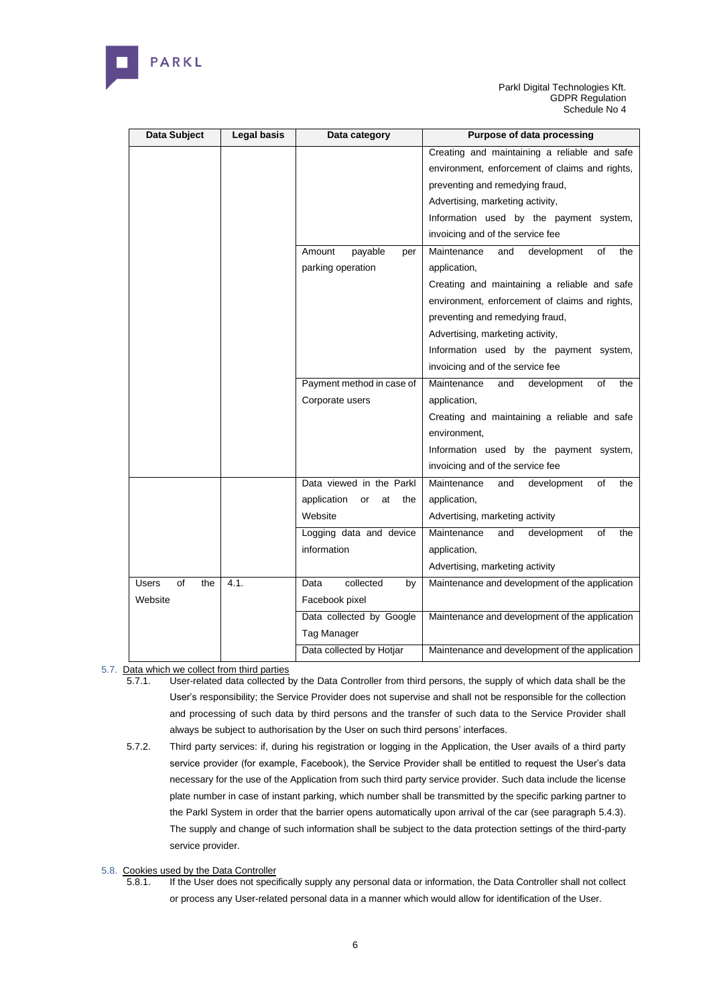

| Data Subject              | <b>Legal basis</b> | Data category                  | <b>Purpose of data processing</b>              |
|---------------------------|--------------------|--------------------------------|------------------------------------------------|
|                           |                    |                                | Creating and maintaining a reliable and safe   |
|                           |                    |                                | environment, enforcement of claims and rights, |
|                           |                    |                                | preventing and remedying fraud,                |
|                           |                    |                                | Advertising, marketing activity,               |
|                           |                    |                                | Information used by the payment system,        |
|                           |                    |                                | invoicing and of the service fee               |
|                           |                    | payable<br>Amount<br>per       | Maintenance<br>and<br>development<br>of<br>the |
|                           |                    | parking operation              | application,                                   |
|                           |                    |                                | Creating and maintaining a reliable and safe   |
|                           |                    |                                | environment, enforcement of claims and rights, |
|                           |                    |                                | preventing and remedying fraud,                |
|                           |                    |                                | Advertising, marketing activity,               |
|                           |                    |                                | Information used by the payment system,        |
|                           |                    |                                | invoicing and of the service fee               |
|                           |                    | Payment method in case of      | Maintenance<br>and<br>οf<br>the<br>development |
|                           |                    | Corporate users                | application,                                   |
|                           |                    |                                | Creating and maintaining a reliable and safe   |
|                           |                    |                                | environment,                                   |
|                           |                    |                                | Information used by the payment system,        |
|                           |                    |                                | invoicing and of the service fee               |
|                           |                    | Data viewed in the Parkl       | Maintenance<br>οf<br>the<br>and<br>development |
|                           |                    | application<br>or<br>at<br>the | application,                                   |
|                           |                    | Website                        | Advertising, marketing activity                |
|                           |                    | Logging data and device        | Maintenance<br>development<br>the<br>and<br>οf |
|                           |                    | information                    | application,                                   |
|                           |                    |                                | Advertising, marketing activity                |
| <b>Users</b><br>of<br>the | 4.1.               | collected<br>Data<br>by        | Maintenance and development of the application |
| Website                   |                    | Facebook pixel                 |                                                |
|                           |                    | Data collected by Google       | Maintenance and development of the application |
|                           |                    | Tag Manager                    |                                                |
|                           |                    | Data collected by Hotjar       | Maintenance and development of the application |

5.7. Data which we collect from third parties

- 5.7.1. User-related data collected by the Data Controller from third persons, the supply of which data shall be the User's responsibility; the Service Provider does not supervise and shall not be responsible for the collection and processing of such data by third persons and the transfer of such data to the Service Provider shall always be subject to authorisation by the User on such third persons' interfaces.
- 5.7.2. Third party services: if, during his registration or logging in the Application, the User avails of a third party service provider (for example, Facebook), the Service Provider shall be entitled to request the User's data necessary for the use of the Application from such third party service provider. Such data include the license plate number in case of instant parking, which number shall be transmitted by the specific parking partner to the Parkl System in order that the barrier opens automatically upon arrival of the car (see paragraph 5.4.3). The supply and change of such information shall be subject to the data protection settings of the third-party service provider.

5.8. Cookies used by the Data Controller<br>5.8.1. If the User does not spec

If the User does not specifically supply any personal data or information, the Data Controller shall not collect or process any User-related personal data in a manner which would allow for identification of the User.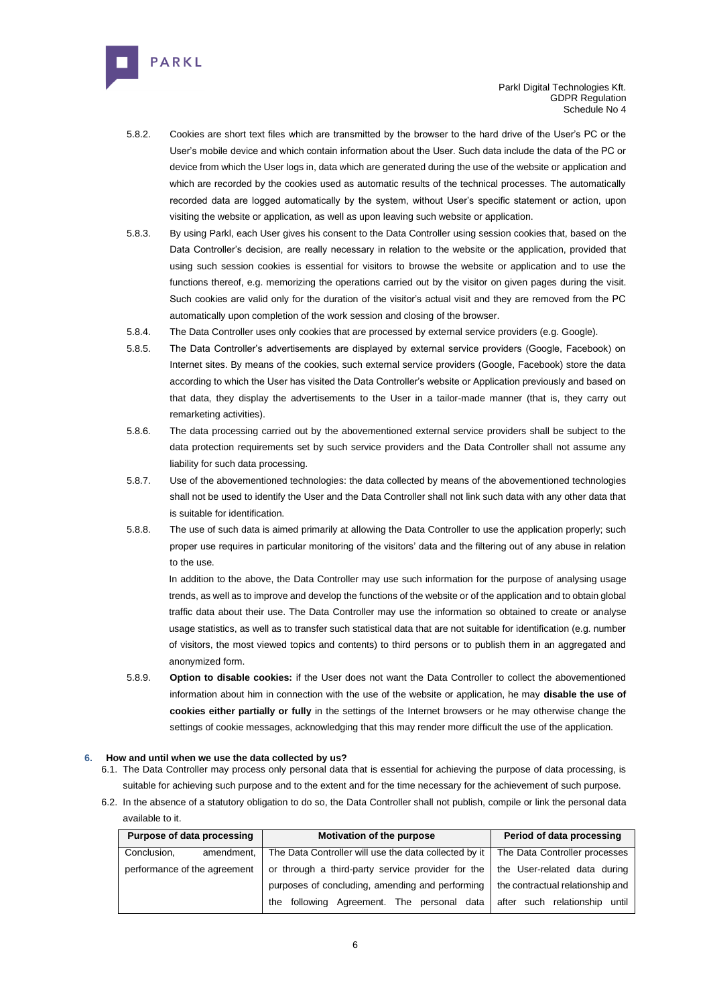

- 5.8.2. Cookies are short text files which are transmitted by the browser to the hard drive of the User's PC or the User's mobile device and which contain information about the User. Such data include the data of the PC or device from which the User logs in, data which are generated during the use of the website or application and which are recorded by the cookies used as automatic results of the technical processes. The automatically recorded data are logged automatically by the system, without User's specific statement or action, upon visiting the website or application, as well as upon leaving such website or application.
- 5.8.3. By using Parkl, each User gives his consent to the Data Controller using session cookies that, based on the Data Controller's decision, are really necessary in relation to the website or the application, provided that using such session cookies is essential for visitors to browse the website or application and to use the functions thereof, e.g. memorizing the operations carried out by the visitor on given pages during the visit. Such cookies are valid only for the duration of the visitor's actual visit and they are removed from the PC automatically upon completion of the work session and closing of the browser.
- 5.8.4. The Data Controller uses only cookies that are processed by external service providers (e.g. Google).
- 5.8.5. The Data Controller's advertisements are displayed by external service providers (Google, Facebook) on Internet sites. By means of the cookies, such external service providers (Google, Facebook) store the data according to which the User has visited the Data Controller's website or Application previously and based on that data, they display the advertisements to the User in a tailor-made manner (that is, they carry out remarketing activities).
- 5.8.6. The data processing carried out by the abovementioned external service providers shall be subject to the data protection requirements set by such service providers and the Data Controller shall not assume any liability for such data processing.
- 5.8.7. Use of the abovementioned technologies: the data collected by means of the abovementioned technologies shall not be used to identify the User and the Data Controller shall not link such data with any other data that is suitable for identification.
- 5.8.8. The use of such data is aimed primarily at allowing the Data Controller to use the application properly; such proper use requires in particular monitoring of the visitors' data and the filtering out of any abuse in relation to the use.

In addition to the above, the Data Controller may use such information for the purpose of analysing usage trends, as well as to improve and develop the functions of the website or of the application and to obtain global traffic data about their use. The Data Controller may use the information so obtained to create or analyse usage statistics, as well as to transfer such statistical data that are not suitable for identification (e.g. number of visitors, the most viewed topics and contents) to third persons or to publish them in an aggregated and anonymized form.

5.8.9. **Option to disable cookies:** if the User does not want the Data Controller to collect the abovementioned information about him in connection with the use of the website or application, he may **disable the use of cookies either partially or fully** in the settings of the Internet browsers or he may otherwise change the settings of cookie messages, acknowledging that this may render more difficult the use of the application.

#### **6. How and until when we use the data collected by us?**

PARKL

- 6.1. The Data Controller may process only personal data that is essential for achieving the purpose of data processing, is suitable for achieving such purpose and to the extent and for the time necessary for the achievement of such purpose.
- 6.2. In the absence of a statutory obligation to do so, the Data Controller shall not publish, compile or link the personal data available to it.

| Purpose of data processing   | Motivation of the purpose                             | Period of data processing        |  |  |
|------------------------------|-------------------------------------------------------|----------------------------------|--|--|
| Conclusion.<br>amendment.    | The Data Controller will use the data collected by it | The Data Controller processes    |  |  |
| performance of the agreement | or through a third-party service provider for the     | the User-related data during     |  |  |
|                              | purposes of concluding, amending and performing       | the contractual relationship and |  |  |
|                              | Agreement. The personal data<br>following<br>the      | after such relationship until    |  |  |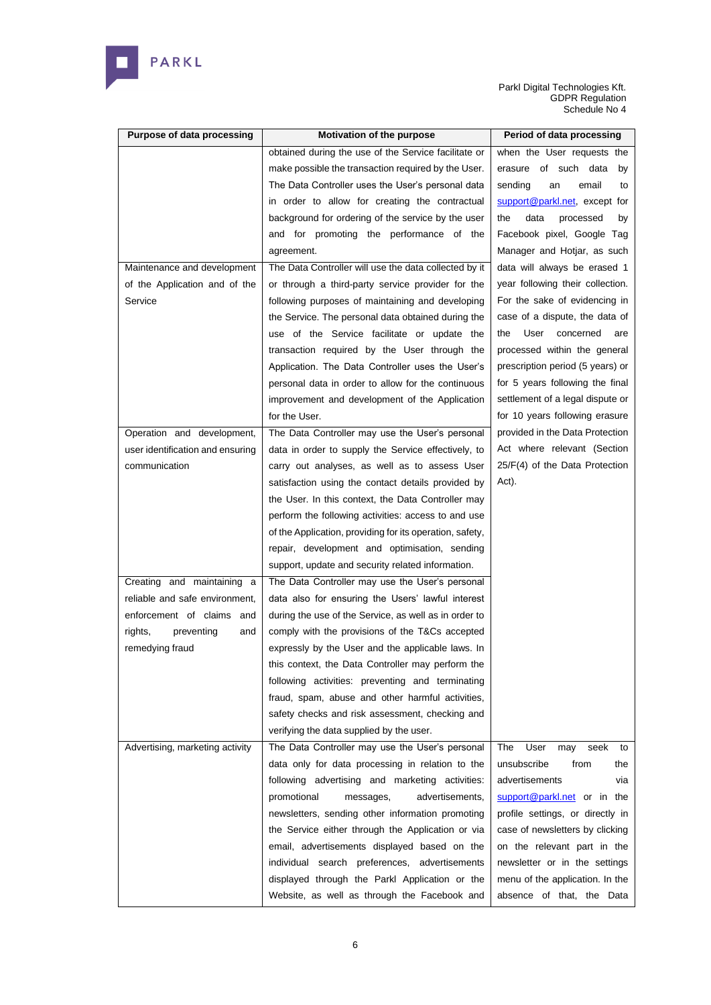

| <b>Purpose of data processing</b> | Motivation of the purpose                                | Period of data processing        |
|-----------------------------------|----------------------------------------------------------|----------------------------------|
|                                   | obtained during the use of the Service facilitate or     | when the User requests the       |
|                                   | make possible the transaction required by the User.      | erasure of such data<br>by       |
|                                   | The Data Controller uses the User's personal data        | sending<br>email<br>an<br>to     |
|                                   | in order to allow for creating the contractual           | support@parkl.net, except for    |
|                                   | background for ordering of the service by the user       | data<br>the<br>processed<br>by   |
|                                   | and for promoting the performance of the                 | Facebook pixel, Google Tag       |
|                                   | agreement.                                               | Manager and Hotjar, as such      |
| Maintenance and development       | The Data Controller will use the data collected by it    | data will always be erased 1     |
| of the Application and of the     | or through a third-party service provider for the        | year following their collection. |
| Service                           | following purposes of maintaining and developing         | For the sake of evidencing in    |
|                                   | the Service. The personal data obtained during the       | case of a dispute, the data of   |
|                                   | use of the Service facilitate or update the              | the<br>User<br>concerned<br>are  |
|                                   | transaction required by the User through the             | processed within the general     |
|                                   | Application. The Data Controller uses the User's         | prescription period (5 years) or |
|                                   | personal data in order to allow for the continuous       | for 5 years following the final  |
|                                   | improvement and development of the Application           | settlement of a legal dispute or |
|                                   | for the User.                                            | for 10 years following erasure   |
| Operation and development,        | The Data Controller may use the User's personal          | provided in the Data Protection  |
| user identification and ensuring  | data in order to supply the Service effectively, to      | Act where relevant (Section      |
| communication                     | carry out analyses, as well as to assess User            | 25/F(4) of the Data Protection   |
|                                   | satisfaction using the contact details provided by       | Act).                            |
|                                   | the User. In this context, the Data Controller may       |                                  |
|                                   | perform the following activities: access to and use      |                                  |
|                                   | of the Application, providing for its operation, safety, |                                  |
|                                   | repair, development and optimisation, sending            |                                  |
|                                   | support, update and security related information.        |                                  |
| Creating and maintaining a        | The Data Controller may use the User's personal          |                                  |
| reliable and safe environment,    | data also for ensuring the Users' lawful interest        |                                  |
| enforcement of claims and         | during the use of the Service, as well as in order to    |                                  |
| preventing<br>rights,<br>and      | comply with the provisions of the T&Cs accepted          |                                  |
| remedying fraud                   | expressly by the User and the applicable laws. In        |                                  |
|                                   | this context, the Data Controller may perform the        |                                  |
|                                   | following activities: preventing and terminating         |                                  |
|                                   | fraud, spam, abuse and other harmful activities,         |                                  |
|                                   | safety checks and risk assessment, checking and          |                                  |
|                                   | verifying the data supplied by the user.                 |                                  |
| Advertising, marketing activity   | The Data Controller may use the User's personal          | The<br>User<br>seek<br>may<br>to |
|                                   | data only for data processing in relation to the         | unsubscribe<br>from<br>the       |
|                                   | following advertising and marketing activities:          | advertisements<br>via            |
|                                   | promotional<br>messages,<br>advertisements,              | support@parkl.net or in the      |
|                                   | newsletters, sending other information promoting         | profile settings, or directly in |
|                                   | the Service either through the Application or via        | case of newsletters by clicking  |
|                                   | email, advertisements displayed based on the             | on the relevant part in the      |
|                                   | individual search preferences, advertisements            | newsletter or in the settings    |
|                                   | displayed through the Parkl Application or the           | menu of the application. In the  |
|                                   | Website, as well as through the Facebook and             | absence of that, the Data        |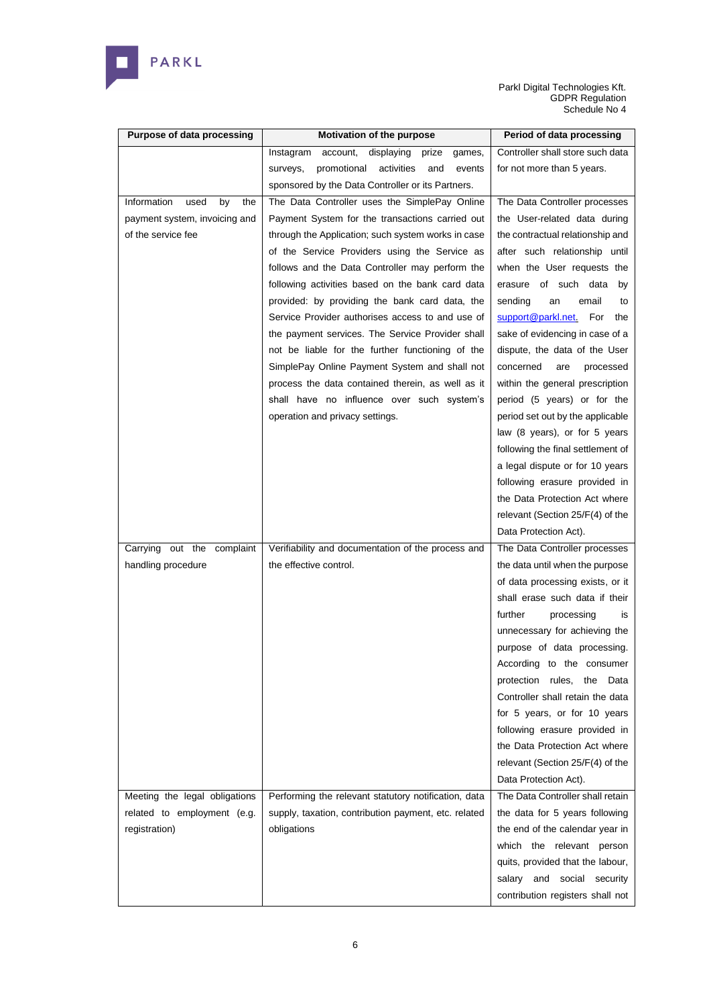

| <b>Purpose of data processing</b> | Motivation of the purpose                              | Period of data processing           |
|-----------------------------------|--------------------------------------------------------|-------------------------------------|
|                                   | account,<br>displaying<br>prize<br>Instagram<br>games, | Controller shall store such data    |
|                                   | and<br>promotional activities<br>events<br>surveys,    | for not more than 5 years.          |
|                                   | sponsored by the Data Controller or its Partners.      |                                     |
| Information<br>by<br>used<br>the  | The Data Controller uses the SimplePay Online          | The Data Controller processes       |
| payment system, invoicing and     | Payment System for the transactions carried out        | the User-related data during        |
| of the service fee                | through the Application; such system works in case     | the contractual relationship and    |
|                                   | of the Service Providers using the Service as          | after such relationship until       |
|                                   | follows and the Data Controller may perform the        | when the User requests the          |
|                                   | following activities based on the bank card data       | erasure of such data<br>by          |
|                                   | provided: by providing the bank card data, the         | sending<br>an<br>email<br>to        |
|                                   | Service Provider authorises access to and use of       | support@parkl.net.<br>For the       |
|                                   | the payment services. The Service Provider shall       | sake of evidencing in case of a     |
|                                   | not be liable for the further functioning of the       | dispute, the data of the User       |
|                                   | SimplePay Online Payment System and shall not          | concerned<br>are<br>processed       |
|                                   | process the data contained therein, as well as it      | within the general prescription     |
|                                   | shall have no influence over such system's             | period (5 years) or for the         |
|                                   | operation and privacy settings.                        | period set out by the applicable    |
|                                   |                                                        | law (8 years), or for 5 years       |
|                                   |                                                        | following the final settlement of   |
|                                   |                                                        | a legal dispute or for 10 years     |
|                                   |                                                        | following erasure provided in       |
|                                   |                                                        | the Data Protection Act where       |
|                                   |                                                        | relevant (Section 25/F(4) of the    |
|                                   |                                                        | Data Protection Act).               |
| Carrying out the complaint        | Verifiability and documentation of the process and     | The Data Controller processes       |
| handling procedure                | the effective control.                                 | the data until when the purpose     |
|                                   |                                                        | of data processing exists, or it    |
|                                   |                                                        | shall erase such data if their      |
|                                   |                                                        | further<br>processing<br>is         |
|                                   |                                                        | unnecessary for achieving the       |
|                                   |                                                        | purpose of data processing.         |
|                                   |                                                        | According to the consumer           |
|                                   |                                                        | protection<br>rules,<br>the<br>Data |
|                                   |                                                        | Controller shall retain the data    |
|                                   |                                                        | for 5 years, or for 10 years        |
|                                   |                                                        | following erasure provided in       |
|                                   |                                                        | the Data Protection Act where       |
|                                   |                                                        | relevant (Section 25/F(4) of the    |
|                                   |                                                        | Data Protection Act).               |
| Meeting the legal obligations     | Performing the relevant statutory notification, data   | The Data Controller shall retain    |
| related to employment (e.g.       | supply, taxation, contribution payment, etc. related   | the data for 5 years following      |
| registration)                     | obligations                                            | the end of the calendar year in     |
|                                   |                                                        | which the relevant person           |
|                                   |                                                        | quits, provided that the labour,    |
|                                   |                                                        | salary and social security          |
|                                   |                                                        | contribution registers shall not    |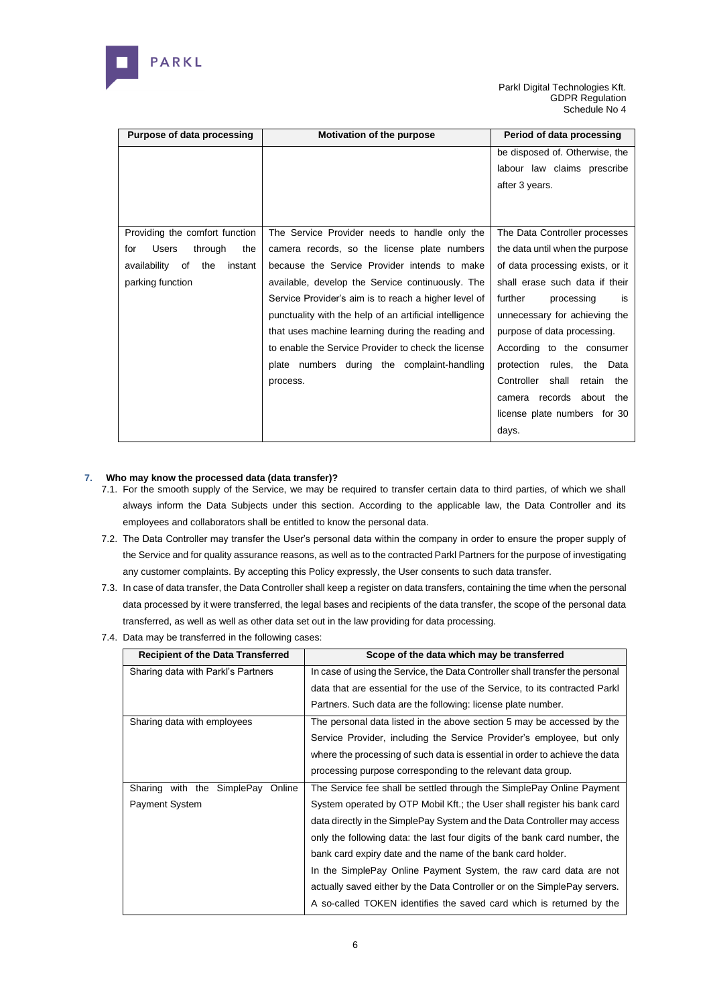

| Purpose of data processing            | <b>Motivation of the purpose</b>                        | Period of data processing            |
|---------------------------------------|---------------------------------------------------------|--------------------------------------|
|                                       |                                                         | be disposed of. Otherwise, the       |
|                                       |                                                         | labour law claims prescribe          |
|                                       |                                                         | after 3 years.                       |
|                                       |                                                         |                                      |
|                                       |                                                         |                                      |
| Providing the comfort function        | The Service Provider needs to handle only the           | The Data Controller processes        |
| <b>Users</b><br>through<br>the<br>for | camera records, so the license plate numbers            | the data until when the purpose      |
| availability<br>of<br>instant<br>the  | because the Service Provider intends to make            | of data processing exists, or it     |
| parking function                      | available, develop the Service continuously. The        | shall erase such data if their       |
|                                       | Service Provider's aim is to reach a higher level of    | further<br>processing<br>is          |
|                                       | punctuality with the help of an artificial intelligence | unnecessary for achieving the        |
|                                       | that uses machine learning during the reading and       | purpose of data processing.          |
|                                       | to enable the Service Provider to check the license     | According to the consumer            |
|                                       | plate numbers during the complaint-handling             | protection<br>rules,<br>the<br>Data  |
|                                       | process.                                                | Controller<br>shall<br>retain<br>the |
|                                       |                                                         | records<br>about<br>the<br>camera    |
|                                       |                                                         | license plate numbers for 30         |
|                                       |                                                         | days.                                |
|                                       |                                                         |                                      |

# **7. Who may know the processed data (data transfer)?**

- 7.1. For the smooth supply of the Service, we may be required to transfer certain data to third parties, of which we shall always inform the Data Subjects under this section. According to the applicable law, the Data Controller and its employees and collaborators shall be entitled to know the personal data.
- 7.2. The Data Controller may transfer the User's personal data within the company in order to ensure the proper supply of the Service and for quality assurance reasons, as well as to the contracted Parkl Partners for the purpose of investigating any customer complaints. By accepting this Policy expressly, the User consents to such data transfer.
- 7.3. In case of data transfer, the Data Controller shall keep a register on data transfers, containing the time when the personal data processed by it were transferred, the legal bases and recipients of the data transfer, the scope of the personal data transferred, as well as well as other data set out in the law providing for data processing.
- 7.4. Data may be transferred in the following cases:

| <b>Recipient of the Data Transferred</b> | Scope of the data which may be transferred                                    |  |  |  |  |
|------------------------------------------|-------------------------------------------------------------------------------|--|--|--|--|
| Sharing data with Parkl's Partners       | In case of using the Service, the Data Controller shall transfer the personal |  |  |  |  |
|                                          | data that are essential for the use of the Service, to its contracted Parkl   |  |  |  |  |
|                                          | Partners. Such data are the following: license plate number.                  |  |  |  |  |
| Sharing data with employees              | The personal data listed in the above section 5 may be accessed by the        |  |  |  |  |
|                                          | Service Provider, including the Service Provider's employee, but only         |  |  |  |  |
|                                          | where the processing of such data is essential in order to achieve the data   |  |  |  |  |
|                                          | processing purpose corresponding to the relevant data group.                  |  |  |  |  |
| Sharing with the SimplePay<br>Online     | The Service fee shall be settled through the SimplePay Online Payment         |  |  |  |  |
| Payment System                           | System operated by OTP Mobil Kft.; the User shall register his bank card      |  |  |  |  |
|                                          | data directly in the SimplePay System and the Data Controller may access      |  |  |  |  |
|                                          | only the following data: the last four digits of the bank card number, the    |  |  |  |  |
|                                          | bank card expiry date and the name of the bank card holder.                   |  |  |  |  |
|                                          | In the SimplePay Online Payment System, the raw card data are not             |  |  |  |  |
|                                          | actually saved either by the Data Controller or on the SimplePay servers.     |  |  |  |  |
|                                          | A so-called TOKEN identifies the saved card which is returned by the          |  |  |  |  |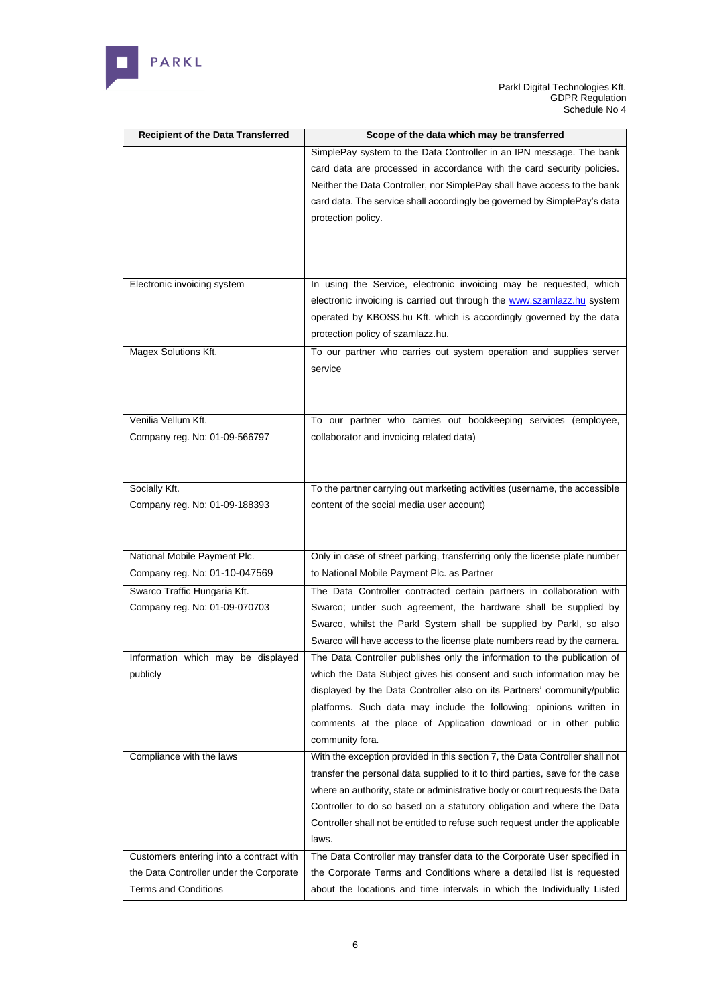

| <b>Recipient of the Data Transferred</b> | Scope of the data which may be transferred                                    |
|------------------------------------------|-------------------------------------------------------------------------------|
|                                          | SimplePay system to the Data Controller in an IPN message. The bank           |
|                                          | card data are processed in accordance with the card security policies.        |
|                                          | Neither the Data Controller, nor SimplePay shall have access to the bank      |
|                                          | card data. The service shall accordingly be governed by SimplePay's data      |
|                                          | protection policy.                                                            |
|                                          |                                                                               |
|                                          |                                                                               |
|                                          |                                                                               |
| Electronic invoicing system              | In using the Service, electronic invoicing may be requested, which            |
|                                          | electronic invoicing is carried out through the www.szamlazz.hu system        |
|                                          | operated by KBOSS.hu Kft. which is accordingly governed by the data           |
|                                          | protection policy of szamlazz.hu.                                             |
| Magex Solutions Kft.                     | To our partner who carries out system operation and supplies server           |
|                                          | service                                                                       |
|                                          |                                                                               |
|                                          |                                                                               |
| Venilia Vellum Kft.                      | To our partner who carries out bookkeeping services (employee,                |
| Company reg. No: 01-09-566797            | collaborator and invoicing related data)                                      |
|                                          |                                                                               |
|                                          |                                                                               |
| Socially Kft.                            | To the partner carrying out marketing activities (username, the accessible    |
| Company reg. No: 01-09-188393            | content of the social media user account)                                     |
|                                          |                                                                               |
|                                          |                                                                               |
| National Mobile Payment Plc.             | Only in case of street parking, transferring only the license plate number    |
| Company reg. No: 01-10-047569            | to National Mobile Payment Plc. as Partner                                    |
| Swarco Traffic Hungaria Kft.             | The Data Controller contracted certain partners in collaboration with         |
| Company reg. No: 01-09-070703            | Swarco; under such agreement, the hardware shall be supplied by               |
|                                          | Swarco, whilst the Parkl System shall be supplied by Parkl, so also           |
|                                          | Swarco will have access to the license plate numbers read by the camera.      |
| Information which may be displayed       | The Data Controller publishes only the information to the publication of      |
| publicly                                 | which the Data Subject gives his consent and such information may be          |
|                                          | displayed by the Data Controller also on its Partners' community/public       |
|                                          | platforms. Such data may include the following: opinions written in           |
|                                          | comments at the place of Application download or in other public              |
|                                          | community fora.                                                               |
| Compliance with the laws                 | With the exception provided in this section 7, the Data Controller shall not  |
|                                          | transfer the personal data supplied to it to third parties, save for the case |
|                                          | where an authority, state or administrative body or court requests the Data   |
|                                          | Controller to do so based on a statutory obligation and where the Data        |
|                                          | Controller shall not be entitled to refuse such request under the applicable  |
|                                          | laws.                                                                         |
| Customers entering into a contract with  | The Data Controller may transfer data to the Corporate User specified in      |
| the Data Controller under the Corporate  | the Corporate Terms and Conditions where a detailed list is requested         |
| <b>Terms and Conditions</b>              | about the locations and time intervals in which the Individually Listed       |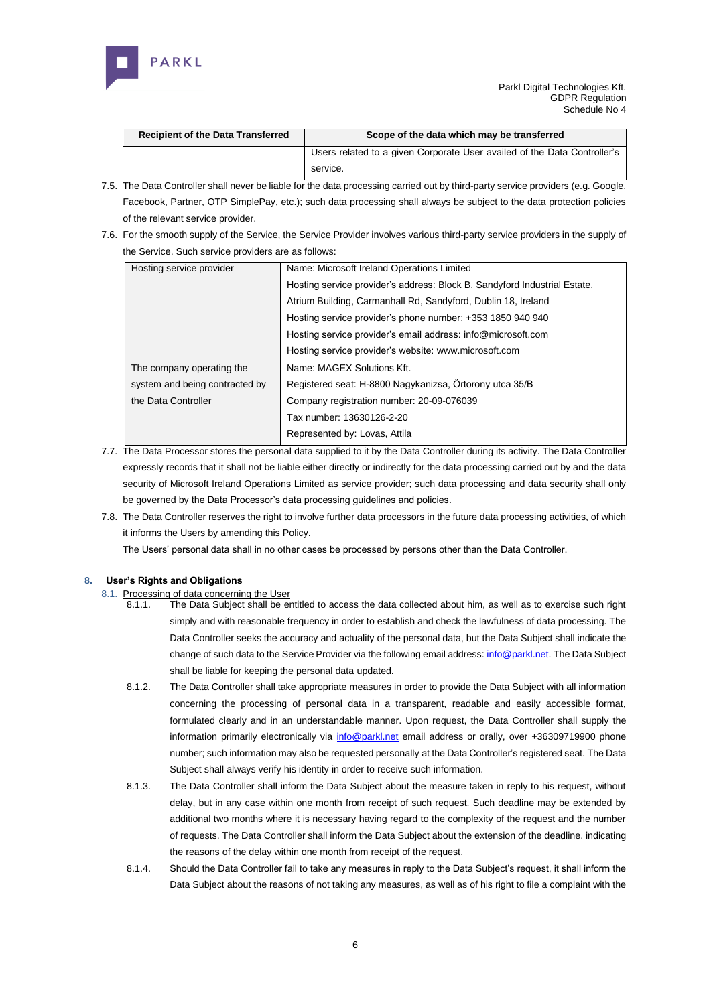

| <b>Recipient of the Data Transferred</b> | Scope of the data which may be transferred                               |  |
|------------------------------------------|--------------------------------------------------------------------------|--|
|                                          | Users related to a given Corporate User availed of the Data Controller's |  |
|                                          | service.                                                                 |  |

- 7.5. The Data Controller shall never be liable for the data processing carried out by third-party service providers (e.g. Google, Facebook, Partner, OTP SimplePay, etc.); such data processing shall always be subject to the data protection policies of the relevant service provider.
- 7.6. For the smooth supply of the Service, the Service Provider involves various third-party service providers in the supply of the Service. Such service providers are as follows:

| Hosting service provider       | Name: Microsoft Ireland Operations Limited                                |
|--------------------------------|---------------------------------------------------------------------------|
|                                | Hosting service provider's address: Block B, Sandyford Industrial Estate, |
|                                | Atrium Building, Carmanhall Rd, Sandyford, Dublin 18, Ireland             |
|                                | Hosting service provider's phone number: +353 1850 940 940                |
|                                | Hosting service provider's email address: info@microsoft.com              |
|                                | Hosting service provider's website: www.microsoft.com                     |
| The company operating the      | Name: MAGEX Solutions Kft.                                                |
| system and being contracted by | Registered seat: H-8800 Nagykanizsa, Örtorony utca 35/B                   |
| the Data Controller            | Company registration number: 20-09-076039                                 |
|                                | Tax number: 13630126-2-20                                                 |
|                                | Represented by: Lovas, Attila                                             |

- 7.7. The Data Processor stores the personal data supplied to it by the Data Controller during its activity. The Data Controller expressly records that it shall not be liable either directly or indirectly for the data processing carried out by and the data security of Microsoft Ireland Operations Limited as service provider; such data processing and data security shall only be governed b[y the Data Processor's data processing guidelines and policies.](about:blank)
- 7.8. The Data Controller reserves the right to involve further data processors in the future data processing activities, of which it informs the Users by amending this Policy.

The Users' personal data shall in no other cases be processed by persons other than the Data Controller.

# **8. User's Rights and Obligations**

- 8.1. Processing of data concerning the User
	- 8.1.1. The Data Subject shall be entitled to access the data collected about him, as well as to exercise such right simply and with reasonable frequency in order to establish and check the lawfulness of data processing. The Data Controller seeks the accuracy and actuality of the personal data, but the Data Subject shall indicate the change of such data to the Service Provider via the following email address[: info@parkl.net.](about:blank) The Data Subject shall be liable for keeping the personal data updated.
	- 8.1.2. The Data Controller shall take appropriate measures in order to provide the Data Subject with all information concerning the processing of personal data in a transparent, readable and easily accessible format, formulated clearly and in an understandable manner. Upon request, the Data Controller shall supply the information primarily electronically via [info@parkl.net](about:blank) email address or orally, over +36309719900 phone number; such information may also be requested personally at the Data Controller's registered seat. The Data Subject shall always verify his identity in order to receive such information.
	- 8.1.3. The Data Controller shall inform the Data Subject about the measure taken in reply to his request, without delay, but in any case within one month from receipt of such request. Such deadline may be extended by additional two months where it is necessary having regard to the complexity of the request and the number of requests. The Data Controller shall inform the Data Subject about the extension of the deadline, indicating the reasons of the delay within one month from receipt of the request.
	- 8.1.4. Should the Data Controller fail to take any measures in reply to the Data Subject's request, it shall inform the Data Subject about the reasons of not taking any measures, as well as of his right to file a complaint with the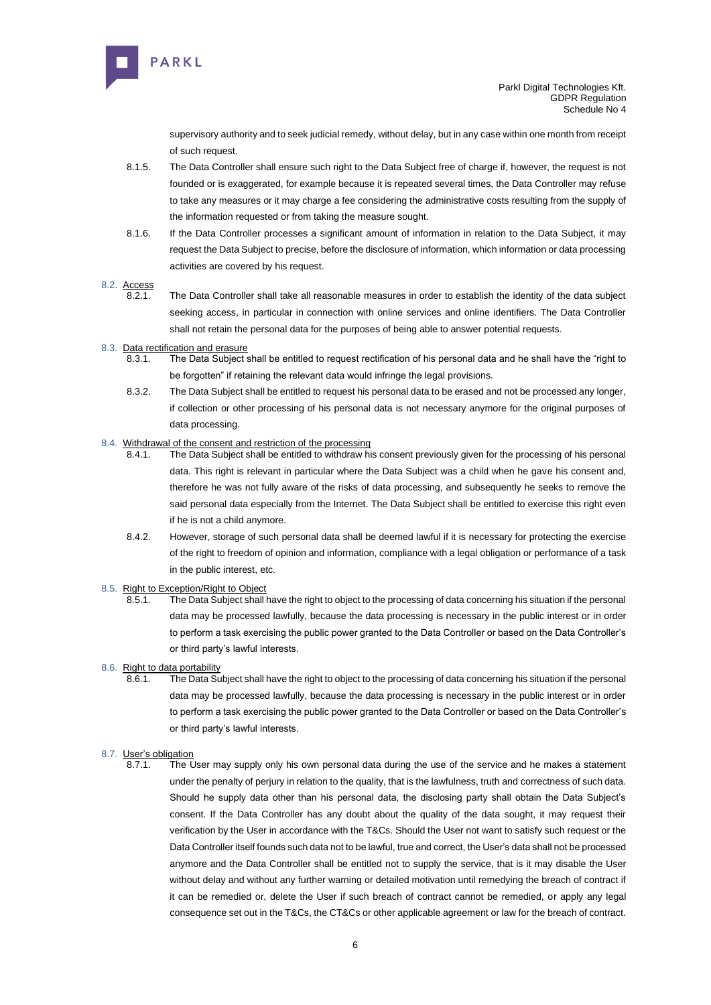

supervisory authority and to seek judicial remedy, without delay, but in any case within one month from receipt of such request.

- 8.1.5. The Data Controller shall ensure such right to the Data Subject free of charge if, however, the request is not founded or is exaggerated, for example because it is repeated several times, the Data Controller may refuse to take any measures or it may charge a fee considering the administrative costs resulting from the supply of the information requested or from taking the measure sought.
- 8.1.6. If the Data Controller processes a significant amount of information in relation to the Data Subject, it may request the Data Subject to precise, before the disclosure of information, which information or data processing activities are covered by his request.

#### 8.2. Access

8.2.1. The Data Controller shall take all reasonable measures in order to establish the identity of the data subject seeking access, in particular in connection with online services and online identifiers. The Data Controller shall not retain the personal data for the purposes of being able to answer potential requests.

#### 8.3. Data rectification and erasure

- 8.3.1. The Data Subject shall be entitled to request rectification of his personal data and he shall have the "right to be forgotten" if retaining the relevant data would infringe the legal provisions.
- 8.3.2. The Data Subject shall be entitled to request his personal data to be erased and not be processed any longer, if collection or other processing of his personal data is not necessary anymore for the original purposes of data processing.

#### 8.4. Withdrawal of the consent and restriction of the processing

- 8.4.1. The Data Subject shall be entitled to withdraw his consent previously given for the processing of his personal data. This right is relevant in particular where the Data Subject was a child when he gave his consent and, therefore he was not fully aware of the risks of data processing, and subsequently he seeks to remove the said personal data especially from the Internet. The Data Subject shall be entitled to exercise this right even if he is not a child anymore.
- 8.4.2. However, storage of such personal data shall be deemed lawful if it is necessary for protecting the exercise of the right to freedom of opinion and information, compliance with a legal obligation or performance of a task in the public interest, etc.
- 8.5. Right to Exception/Right to Object
	- 8.5.1. The Data Subject shall have the right to object to the processing of data concerning his situation if the personal data may be processed lawfully, because the data processing is necessary in the public interest or in order to perform a task exercising the public power granted to the Data Controller or based on the Data Controller's or third party's lawful interests.
- 8.6. Right to data portability
	- 8.6.1. The Data Subject shall have the right to object to the processing of data concerning his situation if the personal data may be processed lawfully, because the data processing is necessary in the public interest or in order to perform a task exercising the public power granted to the Data Controller or based on the Data Controller's or third party's lawful interests.

# 8.7. User's obligation<br>8.7.1. The I

The User may supply only his own personal data during the use of the service and he makes a statement under the penalty of perjury in relation to the quality, that is the lawfulness, truth and correctness of such data. Should he supply data other than his personal data, the disclosing party shall obtain the Data Subject's consent. If the Data Controller has any doubt about the quality of the data sought, it may request their verification by the User in accordance with the T&Cs. Should the User not want to satisfy such request or the Data Controller itself founds such data not to be lawful, true and correct, the User's data shall not be processed anymore and the Data Controller shall be entitled not to supply the service, that is it may disable the User without delay and without any further warning or detailed motivation until remedying the breach of contract if it can be remedied or, delete the User if such breach of contract cannot be remedied, or apply any legal consequence set out in the T&Cs, the CT&Cs or other applicable agreement or law for the breach of contract.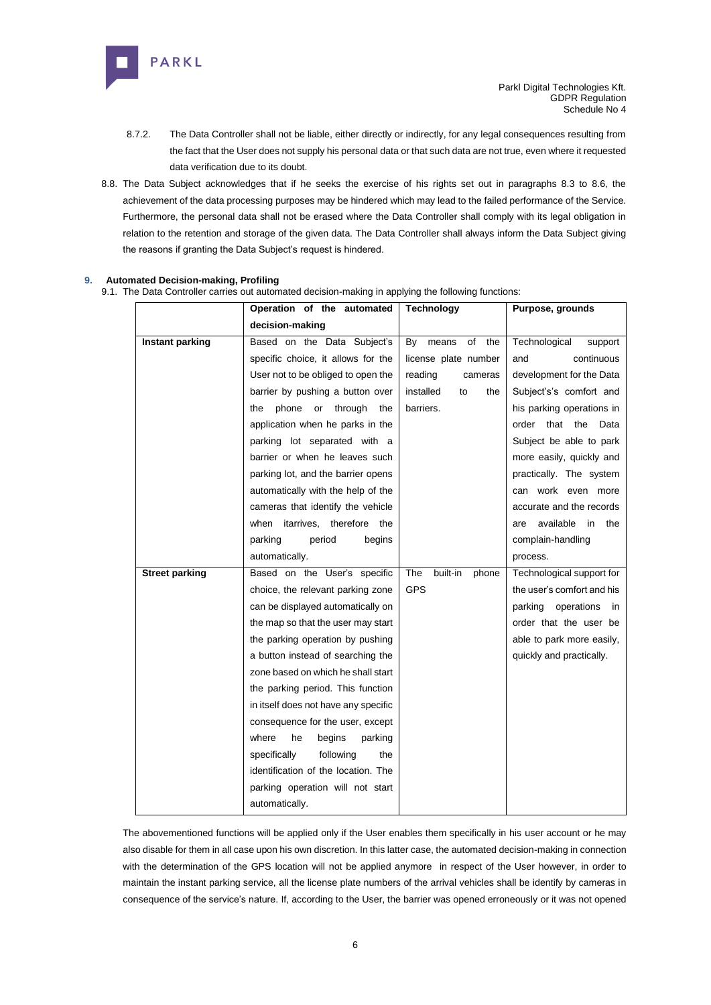

- 8.7.2. The Data Controller shall not be liable, either directly or indirectly, for any legal consequences resulting from the fact that the User does not supply his personal data or that such data are not true, even where it requested data verification due to its doubt.
- 8.8. The Data Subject acknowledges that if he seeks the exercise of his rights set out in paragraphs 8.3 to 8.6, the achievement of the data processing purposes may be hindered which may lead to the failed performance of the Service. Furthermore, the personal data shall not be erased where the Data Controller shall comply with its legal obligation in relation to the retention and storage of the given data. The Data Controller shall always inform the Data Subject giving the reasons if granting the Data Subject's request is hindered.

# **9. Automated Decision-making, Profiling**

9.1. The Data Controller carries out automated decision-making in applying the following functions:

|                       | Operation of the automated           | <b>Technology</b>        | Purpose, grounds                   |
|-----------------------|--------------------------------------|--------------------------|------------------------------------|
|                       | decision-making                      |                          |                                    |
| Instant parking       | Based on the Data Subject's          | means<br>of<br>the<br>By | Technological<br>support           |
|                       | specific choice, it allows for the   | license plate number     | and<br>continuous                  |
|                       | User not to be obliged to open the   | reading<br>cameras       | development for the Data           |
|                       | barrier by pushing a button over     | installed<br>the<br>to   | Subject's's comfort and            |
|                       | phone<br>through<br>or<br>the<br>the | barriers.                | his parking operations in          |
|                       | application when he parks in the     |                          | that the<br>order<br>Data          |
|                       | parking lot separated with a         |                          | Subject be able to park            |
|                       | barrier or when he leaves such       |                          | more easily, quickly and           |
|                       | parking lot, and the barrier opens   |                          | practically. The system            |
|                       | automatically with the help of the   |                          | can work even more                 |
|                       | cameras that identify the vehicle    |                          | accurate and the records           |
|                       | when itarrives, therefore the        |                          | available<br>in<br>the<br>are      |
|                       | parking<br>period<br>begins          |                          | complain-handling                  |
|                       | automatically.                       |                          | process.                           |
| <b>Street parking</b> | Based on the User's specific         | The<br>built-in<br>phone | Technological support for          |
|                       | choice, the relevant parking zone    | <b>GPS</b>               | the user's comfort and his         |
|                       | can be displayed automatically on    |                          | parking<br>operations<br><i>in</i> |
|                       | the map so that the user may start   |                          | order that the user be             |
|                       | the parking operation by pushing     |                          | able to park more easily,          |
|                       | a button instead of searching the    |                          | quickly and practically.           |
|                       | zone based on which he shall start   |                          |                                    |
|                       | the parking period. This function    |                          |                                    |
|                       | in itself does not have any specific |                          |                                    |
|                       | consequence for the user, except     |                          |                                    |
|                       | where<br>he<br>begins<br>parking     |                          |                                    |
|                       | specifically<br>following<br>the     |                          |                                    |
|                       | identification of the location. The  |                          |                                    |
|                       | parking operation will not start     |                          |                                    |
|                       | automatically.                       |                          |                                    |

The abovementioned functions will be applied only if the User enables them specifically in his user account or he may also disable for them in all case upon his own discretion. In this latter case, the automated decision-making in connection with the determination of the GPS location will not be applied anymore in respect of the User however, in order to maintain the instant parking service, all the license plate numbers of the arrival vehicles shall be identify by cameras in consequence of the service's nature. If, according to the User, the barrier was opened erroneously or it was not opened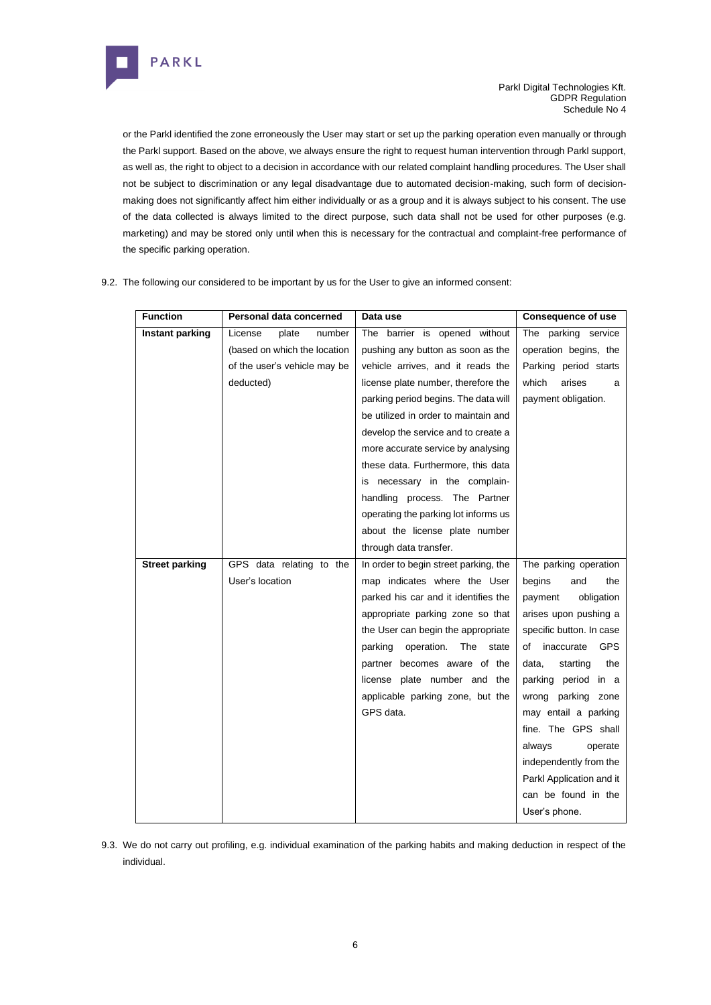

or the Parkl identified the zone erroneously the User may start or set up the parking operation even manually or through the Parkl support. Based on the above, we always ensure the right to request human intervention through Parkl support, as well as, the right to object to a decision in accordance with our related complaint handling procedures. The User shall not be subject to discrimination or any legal disadvantage due to automated decision-making, such form of decisionmaking does not significantly affect him either individually or as a group and it is always subject to his consent. The use of the data collected is always limited to the direct purpose, such data shall not be used for other purposes (e.g. marketing) and may be stored only until when this is necessary for the contractual and complaint-free performance of the specific parking operation.

| <b>Function</b>       | Personal data concerned      | Data use                              | <b>Consequence of use</b>   |
|-----------------------|------------------------------|---------------------------------------|-----------------------------|
| Instant parking       | License<br>plate<br>number   | The barrier is opened without         | The parking service         |
|                       | (based on which the location | pushing any button as soon as the     | operation begins, the       |
|                       | of the user's vehicle may be | vehicle arrives, and it reads the     | Parking period starts       |
|                       | deducted)                    | license plate number, therefore the   | which<br>arises<br>a        |
|                       |                              | parking period begins. The data will  | payment obligation.         |
|                       |                              | be utilized in order to maintain and  |                             |
|                       |                              | develop the service and to create a   |                             |
|                       |                              | more accurate service by analysing    |                             |
|                       |                              | these data. Furthermore, this data    |                             |
|                       |                              | is necessary in the complain-         |                             |
|                       |                              | handling process. The Partner         |                             |
|                       |                              | operating the parking lot informs us  |                             |
|                       |                              | about the license plate number        |                             |
|                       |                              | through data transfer.                |                             |
| <b>Street parking</b> | GPS data relating to the     | In order to begin street parking, the | The parking operation       |
|                       | User's location              | map indicates where the User          | begins<br>and<br>the        |
|                       |                              | parked his car and it identifies the  | payment<br>obligation       |
|                       |                              | appropriate parking zone so that      | arises upon pushing a       |
|                       |                              | the User can begin the appropriate    | specific button. In case    |
|                       |                              | parking<br>operation.<br>The<br>state | of inaccurate<br><b>GPS</b> |
|                       |                              | partner becomes aware of the          | data,<br>starting<br>the    |
|                       |                              | license plate number and the          | parking period in a         |
|                       |                              | applicable parking zone, but the      | wrong parking zone          |
|                       |                              | GPS data.                             | may entail a parking        |
|                       |                              |                                       | fine. The GPS shall         |
|                       |                              |                                       | always<br>operate           |
|                       |                              |                                       | independently from the      |
|                       |                              |                                       | Parkl Application and it    |
|                       |                              |                                       | can be found in the         |
|                       |                              |                                       | User's phone.               |

9.2. The following our considered to be important by us for the User to give an informed consent:

9.3. We do not carry out profiling, e.g. individual examination of the parking habits and making deduction in respect of the individual.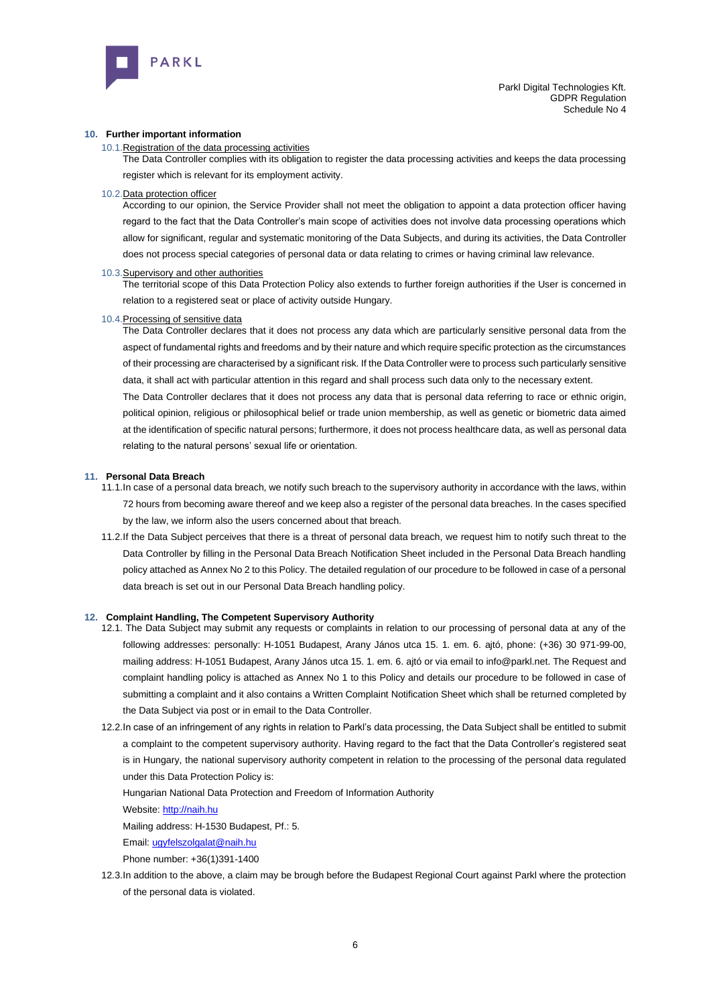

#### **10. Further important information**

#### 10.1.Registration of the data processing activities

The Data Controller complies with its obligation to register the data processing activities and keeps the data processing register which is relevant for its employment activity.

#### 10.2.Data protection officer

According to our opinion, the Service Provider shall not meet the obligation to appoint a data protection officer having regard to the fact that the Data Controller's main scope of activities does not involve data processing operations which allow for significant, regular and systematic monitoring of the Data Subjects, and during its activities, the Data Controller does not process special categories of personal data or data relating to crimes or having criminal law relevance.

#### 10.3.Supervisory and other authorities

The territorial scope of this Data Protection Policy also extends to further foreign authorities if the User is concerned in relation to a registered seat or place of activity outside Hungary.

#### 10.4.Processing of sensitive data

The Data Controller declares that it does not process any data which are particularly sensitive personal data from the aspect of fundamental rights and freedoms and by their nature and which require specific protection as the circumstances of their processing are characterised by a significant risk. If the Data Controller were to process such particularly sensitive data, it shall act with particular attention in this regard and shall process such data only to the necessary extent.

The Data Controller declares that it does not process any data that is personal data referring to race or ethnic origin, political opinion, religious or philosophical belief or trade union membership, as well as genetic or biometric data aimed at the identification of specific natural persons; furthermore, it does not process healthcare data, as well as personal data relating to the natural persons' sexual life or orientation.

#### **11. Personal Data Breach**

- 11.1.In case of a personal data breach, we notify such breach to the supervisory authority in accordance with the laws, within 72 hours from becoming aware thereof and we keep also a register of the personal data breaches. In the cases specified by the law, we inform also the users concerned about that breach.
- 11.2.If the Data Subject perceives that there is a threat of personal data breach, we request him to notify such threat to the Data Controller by filling in the Personal Data Breach Notification Sheet included in the Personal Data Breach handling policy attached as Annex No 2 to this Policy. The detailed regulation of our procedure to be followed in case of a personal data breach is set out in our Personal Data Breach handling policy.

#### **12. Complaint Handling, The Competent Supervisory Authority**

- 12.1. The Data Subject may submit any requests or complaints in relation to our processing of personal data at any of the following addresses: personally: [H-1051 Budapest, Arany János utca 15. 1. em. 6.](about:blank) ajtó, phone: (+36) 30 971-99-00, mailing address[: H-1051 Budapest, Arany János utca 15. 1. em. 6.](about:blank) ajtó or via email to info@parkl.net. The Request and complaint handling policy is attached as Annex No 1 to this Policy and details our procedure to be followed in case of submitting a complaint and it also contains a Written Complaint Notification Sheet which shall be returned completed by the Data Subject via post or in email to the Data Controller.
- 12.2.In case of an infringement of any rights in relation to Parkl's data processing, the Data Subject shall be entitled to submit a complaint to the competent supervisory authority. Having regard to the fact that the Data Controller's registered seat is in Hungary, the national supervisory authority competent in relation to the processing of the personal data regulated under this Data Protection Policy is:

Hungarian National Data Protection and Freedom of Information Authority

Website[: http://naih.hu](about:blank)

Mailing address: H-1530 Budapest, Pf.: 5.

Email[: ugyfelszolgalat@naih.hu](about:blank)

Phone number: +36(1)391-1400

12.3.In addition to the above, a claim may be brough before the Budapest Regional Court against Parkl where the protection of the personal data is violated.